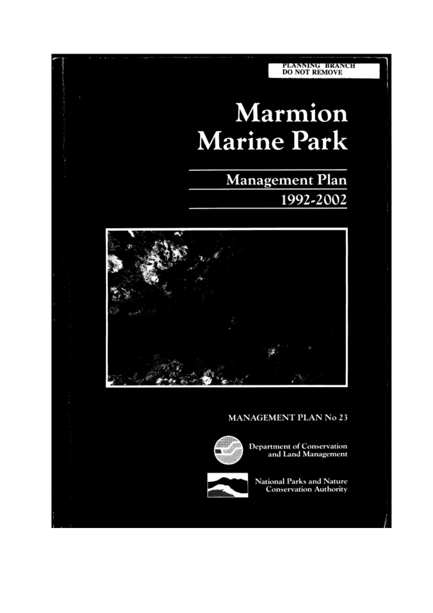# PLANNING BRANCH<br>DO NOT REMOVE Marmion **Marine Park Management Plan** 1992-2002 **MANAGEMENT PLAN No 23 Department of Conservation**<br>and Land Management National Parks and Nature **Conservation Authority**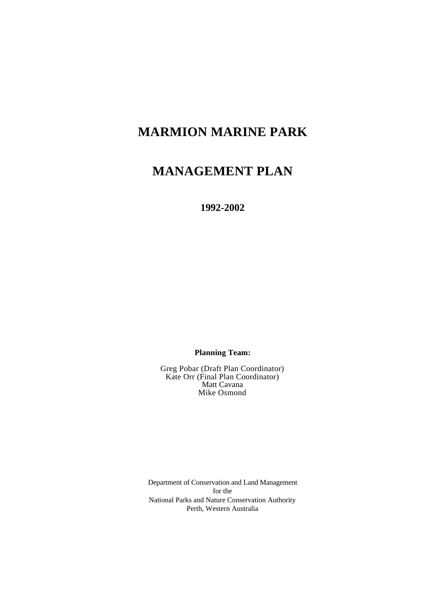## **MARMION MARINE PARK**

## **MANAGEMENT PLAN**

**1992-2002**

**Planning Team:**

Greg Pobar (Draft Plan Coordinator) Kate Orr (Final Plan Coordinator) Matt Cavana Mike Osmond

Department of Conservation and Land Management for the National Parks and Nature Conservation Authority Perth, Western Australia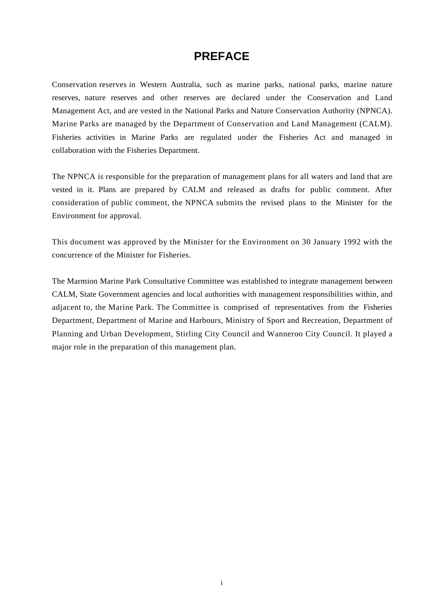## **PREFACE**

Conservation reserves in Western Australia, such as marine parks, national parks, marine nature reserves, nature reserves and other reserves are declared under the Conservation and Land Management Act, and are vested in the National Parks and Nature Conservation Authority (NPNCA). Marine Parks are managed by the Department of Conservation and Land Management (CALM). Fisheries activities in Marine Parks are regulated under the Fisheries Act and managed in collaboration with the Fisheries Department.

The NPNCA is responsible for the preparation of management plans for all waters and land that are vested in it. Plans are prepared by CALM and released as drafts for public comment. After consideration of public comment, the NPNCA submits the revised plans to the Minister for the Environment for approval.

This document was approved by the Minister for the Environment on 30 January 1992 with the concurrence of the Minister for Fisheries.

The Marmion Marine Park Consultative Committee was established to integrate management between CALM, State Government agencies and local authorities with management responsibilities within, and adjacent to, the Marine Park. The Committee is comprised of representatives from the Fisheries Department, Department of Marine and Harbours, Ministry of Sport and Recreation, Department of Planning and Urban Development, Stirling City Council and Wanneroo City Council. It played a major role in the preparation of this management plan.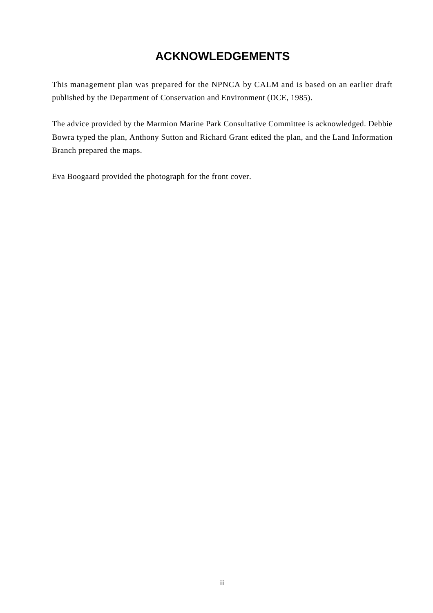## **ACKNOWLEDGEMENTS**

This management plan was prepared for the NPNCA by CALM and is based on an earlier draft published by the Department of Conservation and Environment (DCE, 1985).

The advice provided by the Marmion Marine Park Consultative Committee is acknowledged. Debbie Bowra typed the plan, Anthony Sutton and Richard Grant edited the plan, and the Land Information Branch prepared the maps.

Eva Boogaard provided the photograph for the front cover.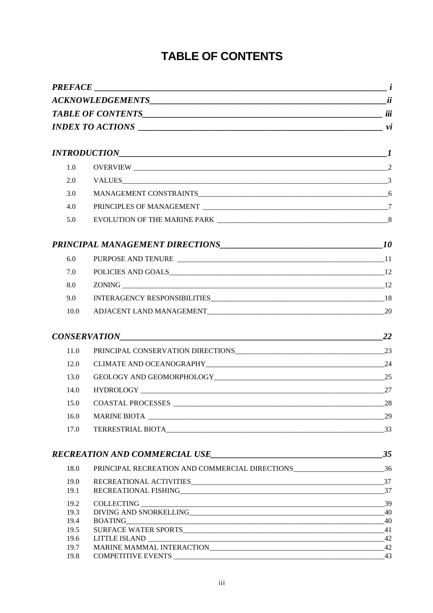## **TABLE OF CONTENTS**

|              | $PREFACE$ $i$                                                                                                                                                                                                                                                                                                                                                                                                                                                                                  |    |  |
|--------------|------------------------------------------------------------------------------------------------------------------------------------------------------------------------------------------------------------------------------------------------------------------------------------------------------------------------------------------------------------------------------------------------------------------------------------------------------------------------------------------------|----|--|
|              |                                                                                                                                                                                                                                                                                                                                                                                                                                                                                                |    |  |
|              |                                                                                                                                                                                                                                                                                                                                                                                                                                                                                                |    |  |
|              | $INDEX\ to\ ACTIONS$ $\hspace{2cm}$ $vi$                                                                                                                                                                                                                                                                                                                                                                                                                                                       |    |  |
|              |                                                                                                                                                                                                                                                                                                                                                                                                                                                                                                |    |  |
| 1.0          |                                                                                                                                                                                                                                                                                                                                                                                                                                                                                                |    |  |
| 2.0          |                                                                                                                                                                                                                                                                                                                                                                                                                                                                                                |    |  |
| 3.0          |                                                                                                                                                                                                                                                                                                                                                                                                                                                                                                |    |  |
| 4.0          |                                                                                                                                                                                                                                                                                                                                                                                                                                                                                                |    |  |
| 5.0          |                                                                                                                                                                                                                                                                                                                                                                                                                                                                                                |    |  |
|              |                                                                                                                                                                                                                                                                                                                                                                                                                                                                                                |    |  |
| 6.0          |                                                                                                                                                                                                                                                                                                                                                                                                                                                                                                |    |  |
| 7.0          |                                                                                                                                                                                                                                                                                                                                                                                                                                                                                                |    |  |
| 8.0          |                                                                                                                                                                                                                                                                                                                                                                                                                                                                                                |    |  |
| 9.0          |                                                                                                                                                                                                                                                                                                                                                                                                                                                                                                |    |  |
| 10.0         |                                                                                                                                                                                                                                                                                                                                                                                                                                                                                                |    |  |
|              | $CONSERVATION$ 22                                                                                                                                                                                                                                                                                                                                                                                                                                                                              |    |  |
| 11.0         |                                                                                                                                                                                                                                                                                                                                                                                                                                                                                                |    |  |
| 12.0         |                                                                                                                                                                                                                                                                                                                                                                                                                                                                                                |    |  |
| 13.0         |                                                                                                                                                                                                                                                                                                                                                                                                                                                                                                |    |  |
| 14.0         | HYDROLOGY 27                                                                                                                                                                                                                                                                                                                                                                                                                                                                                   |    |  |
| 15.0         |                                                                                                                                                                                                                                                                                                                                                                                                                                                                                                |    |  |
| 16.0         |                                                                                                                                                                                                                                                                                                                                                                                                                                                                                                | 29 |  |
| 17.0         | TERRESTRIAL BIOTA 33                                                                                                                                                                                                                                                                                                                                                                                                                                                                           |    |  |
|              |                                                                                                                                                                                                                                                                                                                                                                                                                                                                                                | 35 |  |
| 18.0         | PRINCIPAL RECREATION AND COMMERCIAL DIRECTIONS___________________________________36                                                                                                                                                                                                                                                                                                                                                                                                            |    |  |
| 19.0         |                                                                                                                                                                                                                                                                                                                                                                                                                                                                                                |    |  |
| 19.1         |                                                                                                                                                                                                                                                                                                                                                                                                                                                                                                |    |  |
| 19.2         | $COLLECTING \begin{tabular}{c} \hline \multicolumn{3}{c}{} & \multicolumn{3}{c}{} & \multicolumn{3}{c}{} & \multicolumn{3}{c}{} \\ \hline \multicolumn{3}{c}{} & \multicolumn{3}{c}{} & \multicolumn{3}{c}{} & \multicolumn{3}{c}{} \\ \multicolumn{3}{c}{} & \multicolumn{3}{c}{} & \multicolumn{3}{c}{} \\ \multicolumn{3}{c}{} & \multicolumn{3}{c}{} & \multicolumn{3}{c}{} \\ \multicolumn{3}{c}{} & \multicolumn{3}{c}{} & \multicolumn{3}{c}{} \\ \multicolumn{3}{c}{} & \multicolumn{$ |    |  |
| 19.3         | DIVING AND SNORKELLING 40                                                                                                                                                                                                                                                                                                                                                                                                                                                                      |    |  |
| 19.4         | $\text{BOATING}\_\_\_\_\_40$                                                                                                                                                                                                                                                                                                                                                                                                                                                                   |    |  |
| 19.5         |                                                                                                                                                                                                                                                                                                                                                                                                                                                                                                |    |  |
| 19.6<br>19.7 |                                                                                                                                                                                                                                                                                                                                                                                                                                                                                                |    |  |
| 19.8         |                                                                                                                                                                                                                                                                                                                                                                                                                                                                                                |    |  |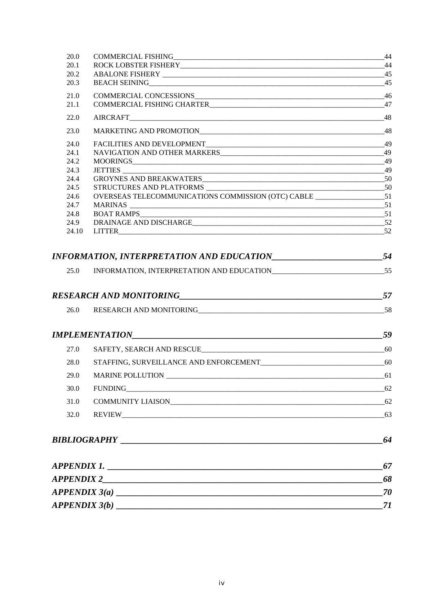| 20.0 |                                           | - 44  |
|------|-------------------------------------------|-------|
| 20.1 | ROCK LOBSTER FISHERY 44                   |       |
| 20.2 |                                           |       |
| 20.3 |                                           |       |
| 21.0 |                                           |       |
| 21.1 |                                           |       |
| 22.0 |                                           |       |
| 23.0 |                                           |       |
| 24.0 |                                           |       |
| 24.1 |                                           |       |
| 24.2 |                                           |       |
| 24.3 |                                           |       |
| 24.4 |                                           |       |
| 24.5 |                                           |       |
| 24.6 |                                           |       |
| 24.7 |                                           |       |
| 24.8 | <b>BOAT RAMPS</b><br>51                   |       |
|      | 24.10 LITTER 52                           |       |
| 25.0 |                                           |       |
|      |                                           |       |
|      |                                           | 59    |
| 27.0 |                                           |       |
| 28.0 | STAFFING, SURVEILLANCE AND ENFORCEMENT 60 |       |
| 29.0 | <b>MARINE POLLUTION</b>                   | 61    |
| 30.0 |                                           | 62    |
| 31.0 |                                           | $-62$ |
| 32.0 |                                           | 63    |
|      |                                           | 64    |
|      | APPENDIX 1.                               | 67    |
|      | APPENDIX 2                                | 68    |
|      | APPENDIX 3(a)                             | 70    |
|      | APPENDIX 3(b)                             | 71    |
|      |                                           |       |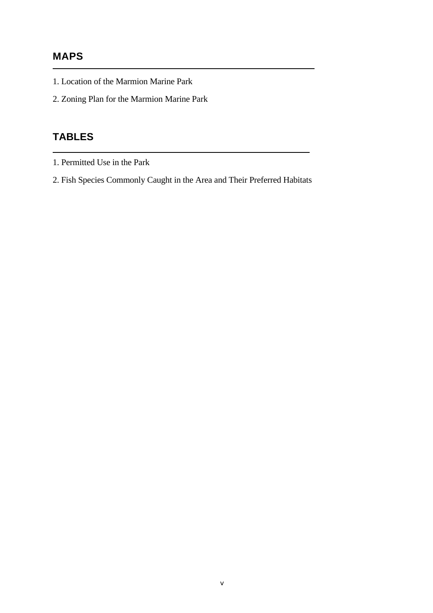## **MAPS**

- 1. Location of the Marmion Marine Park
- 2. Zoning Plan for the Marmion Marine Park

## **TABLES**

- 1. Permitted Use in the Park
- 2. Fish Species Commonly Caught in the Area and Their Preferred Habitats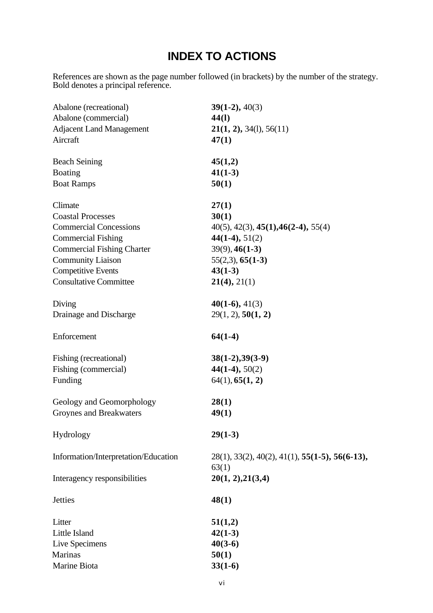## **INDEX TO ACTIONS**

References are shown as the page number followed (in brackets) by the number of the strategy. Bold denotes a principal reference.

| Abalone (recreational)               | $39(1-2), 40(3)$                                  |
|--------------------------------------|---------------------------------------------------|
| Abalone (commercial)                 | 44(1)                                             |
| <b>Adjacent Land Management</b>      | 21(1, 2), 34(1), 56(11)                           |
| Aircraft                             | 47(1)                                             |
| <b>Beach Seining</b>                 | 45(1,2)                                           |
| <b>Boating</b>                       | $41(1-3)$                                         |
| <b>Boat Ramps</b>                    | 50(1)                                             |
| Climate                              | 27(1)                                             |
| <b>Coastal Processes</b>             | 30(1)                                             |
| <b>Commercial Concessions</b>        | $40(5)$ , $42(3)$ , $45(1)$ , $46(2-4)$ , $55(4)$ |
| <b>Commercial Fishing</b>            | $44(1-4), 51(2)$                                  |
| <b>Commercial Fishing Charter</b>    | $39(9)$ , $46(1-3)$                               |
| <b>Community Liaison</b>             | $55(2,3)$ , $65(1-3)$                             |
| <b>Competitive Events</b>            | $43(1-3)$                                         |
| <b>Consultative Committee</b>        | 21(4), 21(1)                                      |
| Diving                               | $40(1-6), 41(3)$                                  |
| Drainage and Discharge               | 29(1, 2), 50(1, 2)                                |
| Enforcement                          | $64(1-4)$                                         |
| Fishing (recreational)               | $38(1-2), 39(3-9)$                                |
| Fishing (commercial)                 | $44(1-4), 50(2)$                                  |
| Funding                              | 64(1), 65(1, 2)                                   |
| Geology and Geomorphology            | 28(1)                                             |
| Groynes and Breakwaters              | 49(1)                                             |
| Hydrology                            | $29(1-3)$                                         |
| Information/Interpretation/Education | $28(1), 33(2), 40(2), 41(1), 55(1-5), 56(6-13),$  |
| Interagency responsibilities         | 63(1)<br>20(1, 2), 21(3,4)                        |
| <b>Jetties</b>                       | 48(1)                                             |
| Litter                               | 51(1,2)                                           |
| Little Island                        | $42(1-3)$                                         |
| Live Specimens                       | $40(3-6)$                                         |
| Marinas                              | 50(1)                                             |
| Marine Biota                         | $33(1-6)$                                         |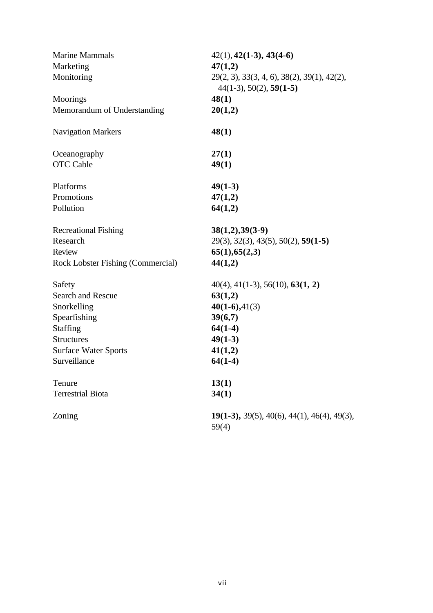| <b>Marine Mammals</b><br>Marketing<br>Monitoring | $42(1), 42(1-3), 43(4-6)$<br>47(1,2)<br>$29(2, 3), 33(3, 4, 6), 38(2), 39(1), 42(2),$<br>$44(1-3), 50(2), 59(1-5)$ |  |  |
|--------------------------------------------------|--------------------------------------------------------------------------------------------------------------------|--|--|
| Moorings                                         | 48(1)                                                                                                              |  |  |
| Memorandum of Understanding                      | 20(1,2)                                                                                                            |  |  |
| <b>Navigation Markers</b>                        | 48(1)                                                                                                              |  |  |
| Oceanography                                     | 27(1)                                                                                                              |  |  |
| <b>OTC</b> Cable                                 | 49(1)                                                                                                              |  |  |
| Platforms                                        | $49(1-3)$                                                                                                          |  |  |
| Promotions                                       | 47(1,2)                                                                                                            |  |  |
| Pollution                                        | 64(1,2)                                                                                                            |  |  |
| <b>Recreational Fishing</b>                      | $38(1,2), 39(3-9)$                                                                                                 |  |  |
| Research                                         | $29(3), 32(3), 43(5), 50(2), 59(1-5)$                                                                              |  |  |
| Review                                           | 65(1), 65(2,3)                                                                                                     |  |  |
| Rock Lobster Fishing (Commercial)                | 44(1,2)                                                                                                            |  |  |
| Safety                                           | $40(4)$ , $41(1-3)$ , $56(10)$ , $63(1, 2)$                                                                        |  |  |
| <b>Search and Rescue</b>                         | 63(1,2)                                                                                                            |  |  |
| Snorkelling                                      | $40(1-6), 41(3)$                                                                                                   |  |  |
| Spearfishing                                     | 39(6,7)                                                                                                            |  |  |
| Staffing                                         | $64(1-4)$                                                                                                          |  |  |
| <b>Structures</b>                                | $49(1-3)$                                                                                                          |  |  |
| <b>Surface Water Sports</b>                      | 41(1,2)                                                                                                            |  |  |
| Surveillance                                     | $64(1-4)$                                                                                                          |  |  |
| Tenure                                           | 13(1)                                                                                                              |  |  |
| <b>Terrestrial Biota</b>                         | 34(1)                                                                                                              |  |  |
| Zoning                                           | $19(1-3)$ , 39(5), 40(6), 44(1), 46(4), 49(3),<br>59(4)                                                            |  |  |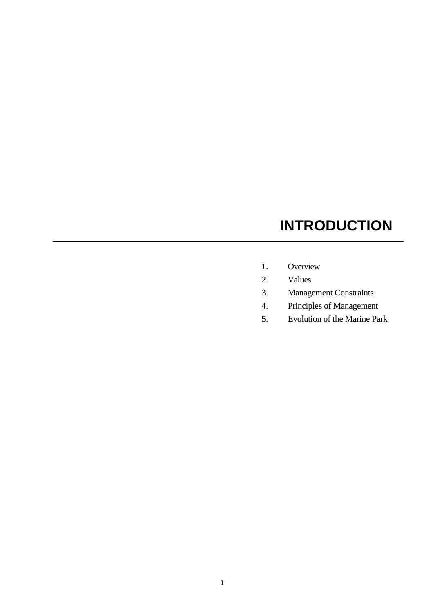# **INTRODUCTION**

- 1. Overview
- 2. Values
- 3. Management Constraints
- 4. Principles of Management
- 5. Evolution of the Marine Park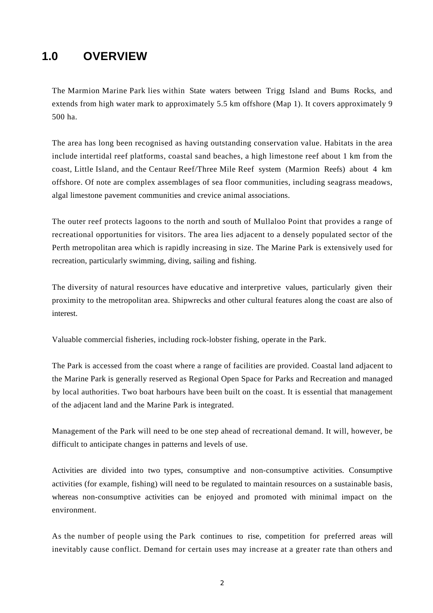## **1.0 OVERVIEW**

The Marmion Marine Park lies within State waters between Trigg Island and Bums Rocks, and extends from high water mark to approximately 5.5 km offshore (Map 1). It covers approximately 9 500 ha.

The area has long been recognised as having outstanding conservation value. Habitats in the area include intertidal reef platforms, coastal sand beaches, a high limestone reef about 1 km from the coast, Little Island, and the Centaur Reef/Three Mile Reef system (Marmion Reefs) about 4 km offshore. Of note are complex assemblages of sea floor communities, including seagrass meadows, algal limestone pavement communities and crevice animal associations.

The outer reef protects lagoons to the north and south of Mullaloo Point that provides a range of recreational opportunities for visitors. The area lies adjacent to a densely populated sector of the Perth metropolitan area which is rapidly increasing in size. The Marine Park is extensively used for recreation, particularly swimming, diving, sailing and fishing.

The diversity of natural resources have educative and interpretive values, particularly given their proximity to the metropolitan area. Shipwrecks and other cultural features along the coast are also of interest.

Valuable commercial fisheries, including rock-lobster fishing, operate in the Park.

The Park is accessed from the coast where a range of facilities are provided. Coastal land adjacent to the Marine Park is generally reserved as Regional Open Space for Parks and Recreation and managed by local authorities. Two boat harbours have been built on the coast. It is essential that management of the adjacent land and the Marine Park is integrated.

Management of the Park will need to be one step ahead of recreational demand. It will, however, be difficult to anticipate changes in patterns and levels of use.

Activities are divided into two types, consumptive and non-consumptive activities. Consumptive activities (for example, fishing) will need to be regulated to maintain resources on a sustainable basis, whereas non-consumptive activities can be enjoyed and promoted with minimal impact on the environment.

As the number of people using the Park continues to rise, competition for preferred areas will inevitably cause conflict. Demand for certain uses may increase at a greater rate than others and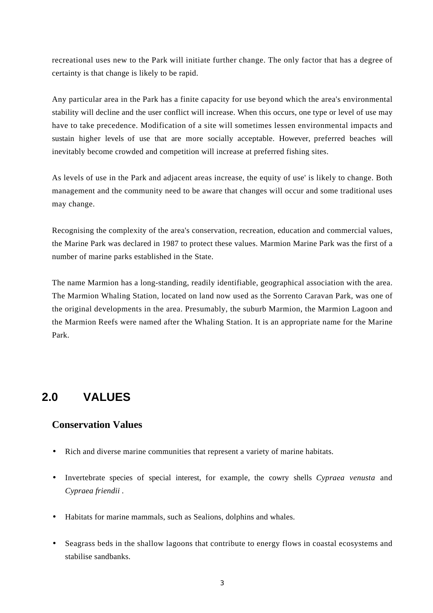recreational uses new to the Park will initiate further change. The only factor that has a degree of certainty is that change is likely to be rapid.

Any particular area in the Park has a finite capacity for use beyond which the area's environmental stability will decline and the user conflict will increase. When this occurs, one type or level of use may have to take precedence. Modification of a site will sometimes lessen environmental impacts and sustain higher levels of use that are more socially acceptable. However, preferred beaches will inevitably become crowded and competition will increase at preferred fishing sites.

As levels of use in the Park and adjacent areas increase, the equity of use' is likely to change. Both management and the community need to be aware that changes will occur and some traditional uses may change.

Recognising the complexity of the area's conservation, recreation, education and commercial values, the Marine Park was declared in 1987 to protect these values. Marmion Marine Park was the first of a number of marine parks established in the State.

The name Marmion has a long-standing, readily identifiable, geographical association with the area. The Marmion Whaling Station, located on land now used as the Sorrento Caravan Park, was one of the original developments in the area. Presumably, the suburb Marmion, the Marmion Lagoon and the Marmion Reefs were named after the Whaling Station. It is an appropriate name for the Marine Park.

## **2.0 VALUES**

#### **Conservation Values**

- Rich and diverse marine communities that represent a variety of marine habitats.
- Invertebrate species of special interest, for example, the cowry shells *Cypraea venusta* and *Cypraea friendii .*
- Habitats for marine mammals, such as Sealions, dolphins and whales.
- Seagrass beds in the shallow lagoons that contribute to energy flows in coastal ecosystems and stabilise sandbanks.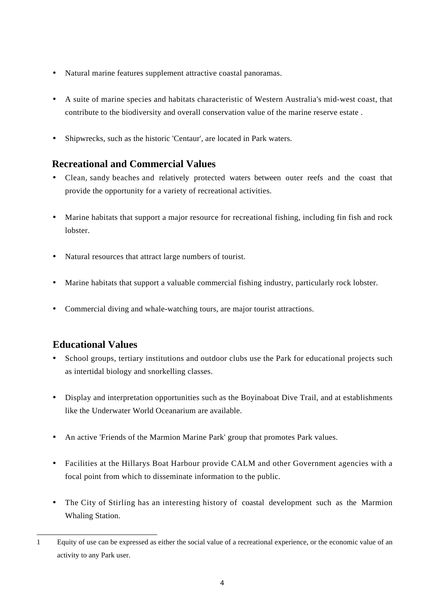- Natural marine features supplement attractive coastal panoramas.
- A suite of marine species and habitats characteristic of Western Australia's mid-west coast, that contribute to the biodiversity and overall conservation value of the marine reserve estate .
- Shipwrecks, such as the historic 'Centaur', are located in Park waters.

#### **Recreational and Commercial Values**

- Clean, sandy beaches and relatively protected waters between outer reefs and the coast that provide the opportunity for a variety of recreational activities.
- Marine habitats that support a major resource for recreational fishing, including fin fish and rock lobster.
- Natural resources that attract large numbers of tourist.
- Marine habitats that support a valuable commercial fishing industry, particularly rock lobster.
- Commercial diving and whale-watching tours, are major tourist attractions.

#### **Educational Values**

- School groups, tertiary institutions and outdoor clubs use the Park for educational projects such as intertidal biology and snorkelling classes.
- Display and interpretation opportunities such as the Boyinaboat Dive Trail, and at establishments like the Underwater World Oceanarium are available.
- An active 'Friends of the Marmion Marine Park' group that promotes Park values.
- Facilities at the Hillarys Boat Harbour provide CALM and other Government agencies with a focal point from which to disseminate information to the public.
- The City of Stirling has an interesting history of coastal development such as the Marmion Whaling Station.

<sup>1</sup> Equity of use can be expressed as either the social value of a recreational experience, or the economic value of an activity to any Park user.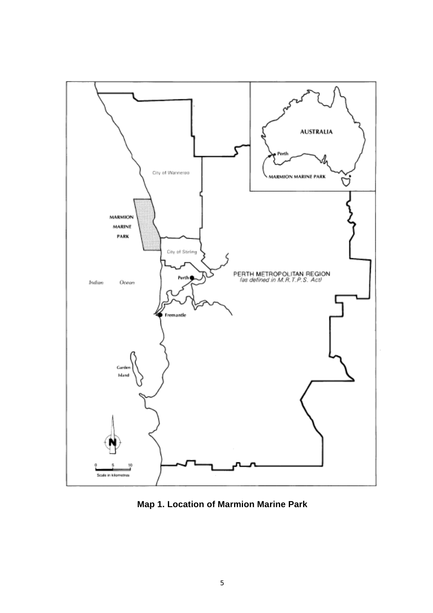

**Map 1. Location of Marmion Marine Park**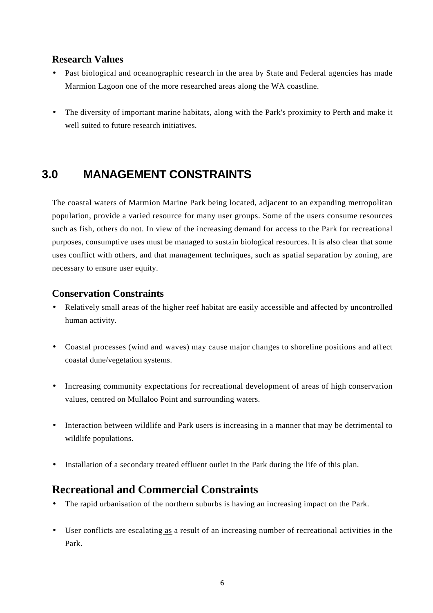#### **Research Values**

- Past biological and oceanographic research in the area by State and Federal agencies has made Marmion Lagoon one of the more researched areas along the WA coastline.
- The diversity of important marine habitats, along with the Park's proximity to Perth and make it well suited to future research initiatives.

## **3.0 MANAGEMENT CONSTRAINTS**

The coastal waters of Marmion Marine Park being located, adjacent to an expanding metropolitan population, provide a varied resource for many user groups. Some of the users consume resources such as fish, others do not. In view of the increasing demand for access to the Park for recreational purposes, consumptive uses must be managed to sustain biological resources. It is also clear that some uses conflict with others, and that management techniques, such as spatial separation by zoning, are necessary to ensure user equity.

#### **Conservation Constraints**

- Relatively small areas of the higher reef habitat are easily accessible and affected by uncontrolled human activity.
- Coastal processes (wind and waves) may cause major changes to shoreline positions and affect coastal dune/vegetation systems.
- Increasing community expectations for recreational development of areas of high conservation values, centred on Mullaloo Point and surrounding waters.
- Interaction between wildlife and Park users is increasing in a manner that may be detrimental to wildlife populations.
- Installation of a secondary treated effluent outlet in the Park during the life of this plan.

## **Recreational and Commercial Constraints**

- The rapid urbanisation of the northern suburbs is having an increasing impact on the Park.
- User conflicts are escalating as a result of an increasing number of recreational activities in the Park.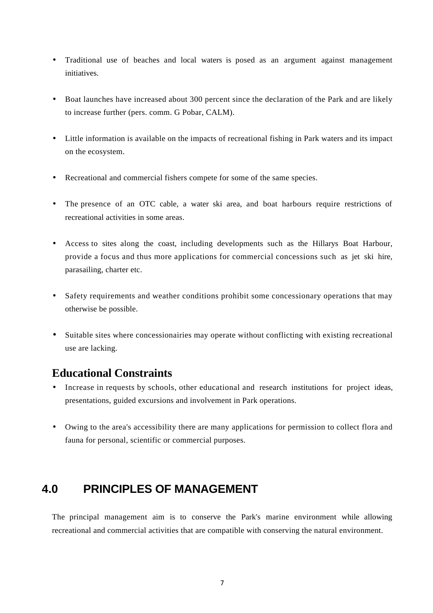- Traditional use of beaches and local waters is posed as an argument against management initiatives.
- Boat launches have increased about 300 percent since the declaration of the Park and are likely to increase further (pers. comm. G Pobar, CALM).
- Little information is available on the impacts of recreational fishing in Park waters and its impact on the ecosystem.
- Recreational and commercial fishers compete for some of the same species.
- The presence of an OTC cable, a water ski area, and boat harbours require restrictions of recreational activities in some areas.
- Access to sites along the coast, including developments such as the Hillarys Boat Harbour, provide a focus and thus more applications for commercial concessions such as jet ski hire, parasailing, charter etc.
- Safety requirements and weather conditions prohibit some concessionary operations that may otherwise be possible.
- Suitable sites where concessionairies may operate without conflicting with existing recreational use are lacking.

## **Educational Constraints**

- Increase in requests by schools, other educational and research institutions for project ideas, presentations, guided excursions and involvement in Park operations.
- Owing to the area's accessibility there are many applications for permission to collect flora and fauna for personal, scientific or commercial purposes.

## **4.0 PRINCIPLES OF MANAGEMENT**

The principal management aim is to conserve the Park's marine environment while allowing recreational and commercial activities that are compatible with conserving the natural environment.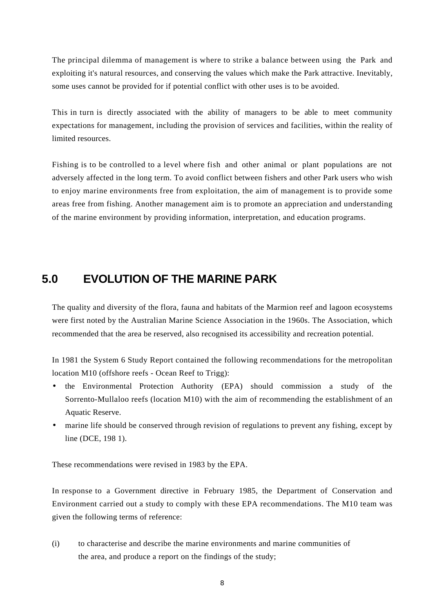The principal dilemma of management is where to strike a balance between using the Park and exploiting it's natural resources, and conserving the values which make the Park attractive. Inevitably, some uses cannot be provided for if potential conflict with other uses is to be avoided.

This in turn is directly associated with the ability of managers to be able to meet community expectations for management, including the provision of services and facilities, within the reality of limited resources.

Fishing is to be controlled to a level where fish and other animal or plant populations are not adversely affected in the long term. To avoid conflict between fishers and other Park users who wish to enjoy marine environments free from exploitation, the aim of management is to provide some areas free from fishing. Another management aim is to promote an appreciation and understanding of the marine environment by providing information, interpretation, and education programs.

## **5.0 EVOLUTION OF THE MARINE PARK**

The quality and diversity of the flora, fauna and habitats of the Marmion reef and lagoon ecosystems were first noted by the Australian Marine Science Association in the 1960s. The Association, which recommended that the area be reserved, also recognised its accessibility and recreation potential.

In 1981 the System 6 Study Report contained the following recommendations for the metropolitan location M10 (offshore reefs - Ocean Reef to Trigg):

- the Environmental Protection Authority (EPA) should commission a study of the Sorrento-Mullaloo reefs (location M10) with the aim of recommending the establishment of an Aquatic Reserve.
- marine life should be conserved through revision of regulations to prevent any fishing, except by line (DCE, 198 1).

These recommendations were revised in 1983 by the EPA.

In response to a Government directive in February 1985, the Department of Conservation and Environment carried out a study to comply with these EPA recommendations. The M10 team was given the following terms of reference:

(i) to characterise and describe the marine environments and marine communities of the area, and produce a report on the findings of the study;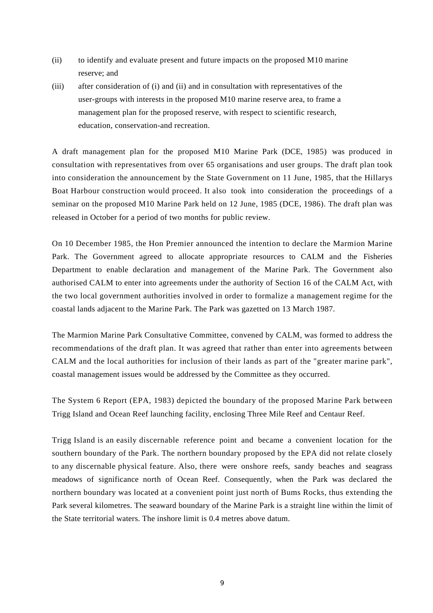- (ii) to identify and evaluate present and future impacts on the proposed M10 marine reserve; and
- (iii) after consideration of (i) and (ii) and in consultation with representatives of the user-groups with interests in the proposed M10 marine reserve area, to frame a management plan for the proposed reserve, with respect to scientific research, education, conservation-and recreation.

A draft management plan for the proposed M10 Marine Park (DCE, 1985) was produced in consultation with representatives from over 65 organisations and user groups. The draft plan took into consideration the announcement by the State Government on 11 June, 1985, that the Hillarys Boat Harbour construction would proceed. It also took into consideration the proceedings of a seminar on the proposed M10 Marine Park held on 12 June, 1985 (DCE, 1986). The draft plan was released in October for a period of two months for public review.

On 10 December 1985, the Hon Premier announced the intention to declare the Marmion Marine Park. The Government agreed to allocate appropriate resources to CALM and the Fisheries Department to enable declaration and management of the Marine Park. The Government also authorised CALM to enter into agreements under the authority of Section 16 of the CALM Act, with the two local government authorities involved in order to formalize a management regime for the coastal lands adjacent to the Marine Park. The Park was gazetted on 13 March 1987.

The Marmion Marine Park Consultative Committee, convened by CALM, was formed to address the recommendations of the draft plan. It was agreed that rather than enter into agreements between CALM and the local authorities for inclusion of their lands as part of the "greater marine park", coastal management issues would be addressed by the Committee as they occurred.

The System 6 Report (EPA, 1983) depicted the boundary of the proposed Marine Park between Trigg Island and Ocean Reef launching facility, enclosing Three Mile Reef and Centaur Reef.

Trigg Island is an easily discernable reference point and became a convenient location for the southern boundary of the Park. The northern boundary proposed by the EPA did not relate closely to any discernable physical feature. Also, there were onshore reefs, sandy beaches and seagrass meadows of significance north of Ocean Reef. Consequently, when the Park was declared the northern boundary was located at a convenient point just north of Bums Rocks, thus extending the Park several kilometres. The seaward boundary of the Marine Park is a straight line within the limit of the State territorial waters. The inshore limit is 0.4 metres above datum.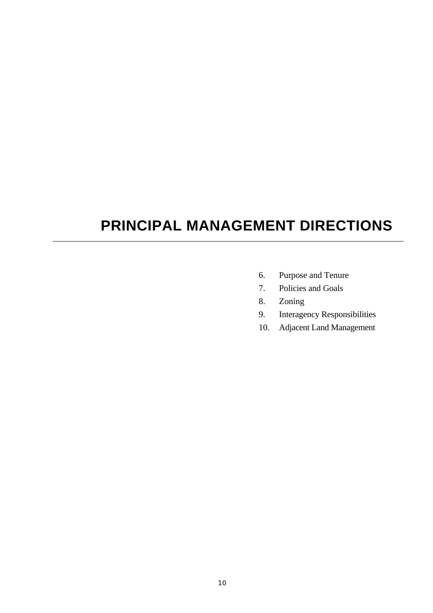# **PRINCIPAL MANAGEMENT DIRECTIONS**

- 6. Purpose and Tenure
- 7. Policies and Goals
- 8. Zoning
- 9. Interagency Responsibilities
- 10. Adjacent Land Management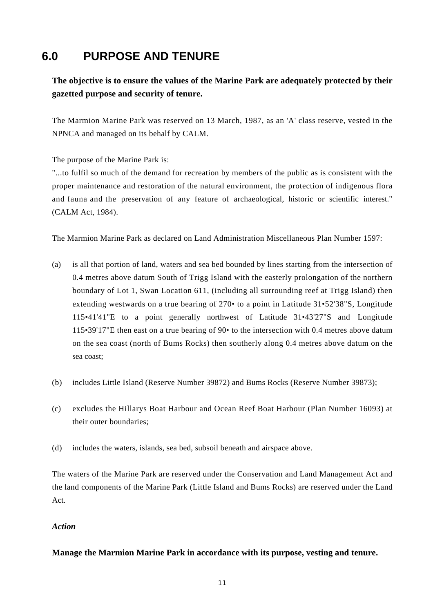## **6.0 PURPOSE AND TENURE**

**The objective is to ensure the values of the Marine Park are adequately protected by their gazetted purpose and security of tenure.**

The Marmion Marine Park was reserved on 13 March, 1987, as an 'A' class reserve, vested in the NPNCA and managed on its behalf by CALM.

The purpose of the Marine Park is:

"...to fulfil so much of the demand for recreation by members of the public as is consistent with the proper maintenance and restoration of the natural environment, the protection of indigenous flora and fauna and the preservation of any feature of archaeological, historic or scientific interest." (CALM Act, 1984).

The Marmion Marine Park as declared on Land Administration Miscellaneous Plan Number 1597:

- (a) is all that portion of land, waters and sea bed bounded by lines starting from the intersection of 0.4 metres above datum South of Trigg Island with the easterly prolongation of the northern boundary of Lot 1, Swan Location 611, (including all surrounding reef at Trigg Island) then extending westwards on a true bearing of 270• to a point in Latitude 31•52'38"S, Longitude 115•41'41"E to a point generally northwest of Latitude 31•43'27"S and Longitude 115•39'17"E then east on a true bearing of 90• to the intersection with 0.4 metres above datum on the sea coast (north of Bums Rocks) then southerly along 0.4 metres above datum on the sea coast;
- (b) includes Little Island (Reserve Number 39872) and Bums Rocks (Reserve Number 39873);
- (c) excludes the Hillarys Boat Harbour and Ocean Reef Boat Harbour (Plan Number 16093) at their outer boundaries;
- (d) includes the waters, islands, sea bed, subsoil beneath and airspace above.

The waters of the Marine Park are reserved under the Conservation and Land Management Act and the land components of the Marine Park (Little Island and Bums Rocks) are reserved under the Land Act.

#### *Action*

**Manage the Marmion Marine Park in accordance with its purpose, vesting and tenure.**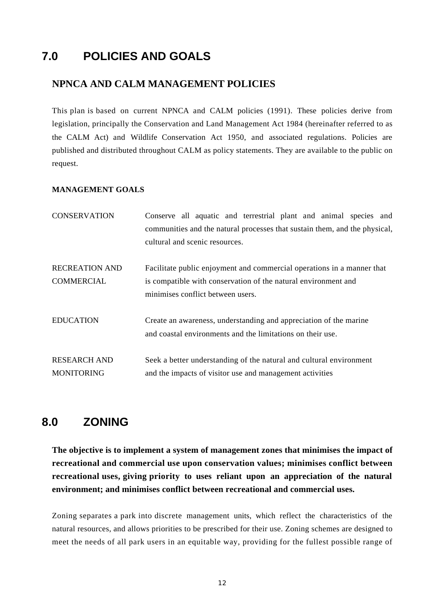## **7.0 POLICIES AND GOALS**

#### **NPNCA AND CALM MANAGEMENT POLICIES**

This plan is based on current NPNCA and CALM policies (1991). These policies derive from legislation, principally the Conservation and Land Management Act 1984 (hereinafter referred to as the CALM Act) and Wildlife Conservation Act 1950, and associated regulations. Policies are published and distributed throughout CALM as policy statements. They are available to the public on request.

#### **MANAGEMENT GOALS**

| <b>CONSERVATION</b>                        | Conserve all aquatic and terrestrial plant and animal species and<br>communities and the natural processes that sustain them, and the physical,<br>cultural and scenic resources. |
|--------------------------------------------|-----------------------------------------------------------------------------------------------------------------------------------------------------------------------------------|
| <b>RECREATION AND</b><br><b>COMMERCIAL</b> | Facilitate public enjoyment and commercial operations in a manner that<br>is compatible with conservation of the natural environment and<br>minimises conflict between users.     |
| <b>EDUCATION</b>                           | Create an awareness, understanding and appreciation of the marine<br>and coastal environments and the limitations on their use.                                                   |
| <b>RESEARCH AND</b><br><b>MONITORING</b>   | Seek a better understanding of the natural and cultural environment<br>and the impacts of visitor use and management activities                                                   |

#### **8.0 ZONING**

**The objective is to implement a system of management zones that minimises the impact of recreational and commercial use upon conservation values; minimises conflict between recreational uses, giving priority to uses reliant upon an appreciation of the natural environment; and minimises conflict between recreational and commercial uses.**

Zoning separates a park into discrete management units, which reflect the characteristics of the natural resources, and allows priorities to be prescribed for their use. Zoning schemes are designed to meet the needs of all park users in an equitable way, providing for the fullest possible range of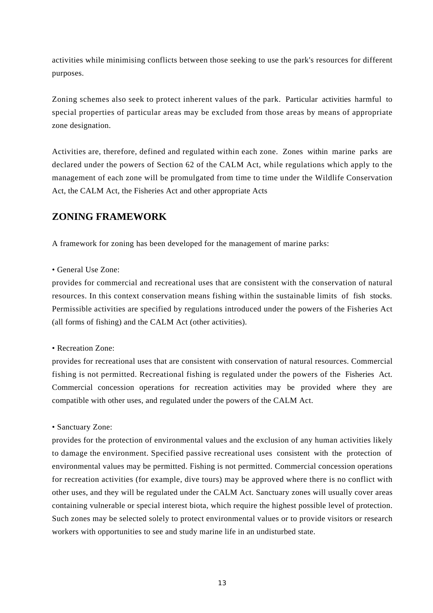activities while minimising conflicts between those seeking to use the park's resources for different purposes.

Zoning schemes also seek to protect inherent values of the park. Particular activities harmful to special properties of particular areas may be excluded from those areas by means of appropriate zone designation.

Activities are, therefore, defined and regulated within each zone. Zones within marine parks are declared under the powers of Section 62 of the CALM Act, while regulations which apply to the management of each zone will be promulgated from time to time under the Wildlife Conservation Act, the CALM Act, the Fisheries Act and other appropriate Acts

#### **ZONING FRAMEWORK**

A framework for zoning has been developed for the management of marine parks:

#### • General Use Zone:

provides for commercial and recreational uses that are consistent with the conservation of natural resources. In this context conservation means fishing within the sustainable limits of fish stocks. Permissible activities are specified by regulations introduced under the powers of the Fisheries Act (all forms of fishing) and the CALM Act (other activities).

#### • Recreation Zone:

provides for recreational uses that are consistent with conservation of natural resources. Commercial fishing is not permitted. Recreational fishing is regulated under the powers of the Fisheries Act. Commercial concession operations for recreation activities may be provided where they are compatible with other uses, and regulated under the powers of the CALM Act.

#### • Sanctuary Zone:

provides for the protection of environmental values and the exclusion of any human activities likely to damage the environment. Specified passive recreational uses consistent with the protection of environmental values may be permitted. Fishing is not permitted. Commercial concession operations for recreation activities (for example, dive tours) may be approved where there is no conflict with other uses, and they will be regulated under the CALM Act. Sanctuary zones will usually cover areas containing vulnerable or special interest biota, which require the highest possible level of protection. Such zones may be selected solely to protect environmental values or to provide visitors or research workers with opportunities to see and study marine life in an undisturbed state.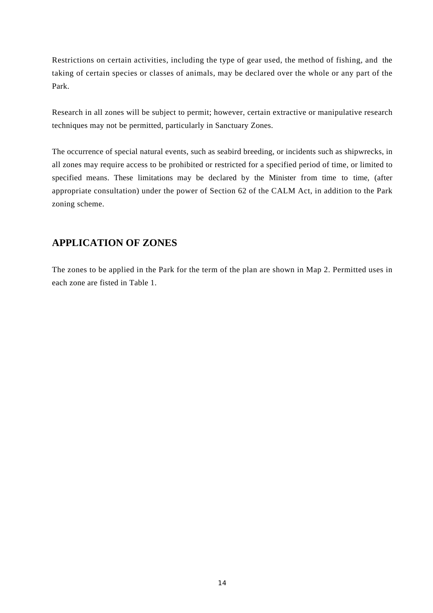Restrictions on certain activities, including the type of gear used, the method of fishing, and the taking of certain species or classes of animals, may be declared over the whole or any part of the Park.

Research in all zones will be subject to permit; however, certain extractive or manipulative research techniques may not be permitted, particularly in Sanctuary Zones.

The occurrence of special natural events, such as seabird breeding, or incidents such as shipwrecks, in all zones may require access to be prohibited or restricted for a specified period of time, or limited to specified means. These limitations may be declared by the Minister from time to time, (after appropriate consultation) under the power of Section 62 of the CALM Act, in addition to the Park zoning scheme.

#### **APPLICATION OF ZONES**

The zones to be applied in the Park for the term of the plan are shown in Map 2. Permitted uses in each zone are fisted in Table 1.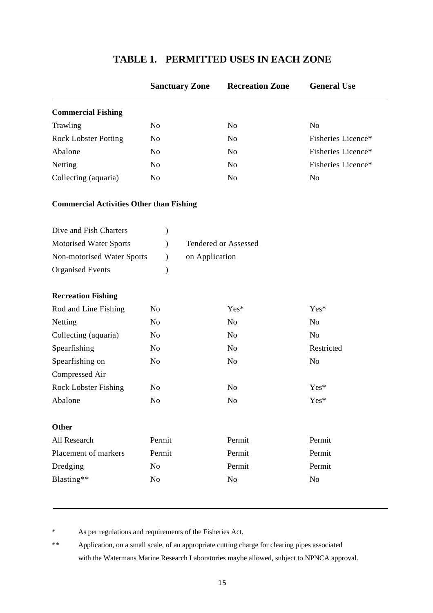|                                                                           |                | <b>Sanctuary Zone</b> | <b>Recreation Zone</b>      | <b>General Use</b> |
|---------------------------------------------------------------------------|----------------|-----------------------|-----------------------------|--------------------|
| <b>Commercial Fishing</b>                                                 |                |                       |                             |                    |
| Trawling                                                                  | N <sub>0</sub> |                       | N <sub>o</sub>              | N <sub>0</sub>     |
| <b>Rock Lobster Potting</b>                                               | No             |                       | N <sub>o</sub>              | Fisheries Licence* |
| Abalone                                                                   | N <sub>o</sub> |                       | N <sub>o</sub>              | Fisheries Licence* |
| Netting                                                                   | N <sub>0</sub> |                       | N <sub>o</sub>              | Fisheries Licence* |
| Collecting (aquaria)                                                      | N <sub>0</sub> |                       | N <sub>o</sub>              | N <sub>o</sub>     |
| <b>Commercial Activities Other than Fishing</b><br>Dive and Fish Charters |                |                       |                             |                    |
| Motorised Water Sports                                                    |                |                       | <b>Tendered or Assessed</b> |                    |
| Non-motorised Water Sports                                                |                | on Application        |                             |                    |
| <b>Organised Events</b>                                                   |                |                       |                             |                    |
| <b>Recreation Fishing</b>                                                 |                |                       |                             |                    |
| Rod and Line Fishing                                                      | N <sub>o</sub> |                       | Yes*                        | Yes*               |
| Netting                                                                   | N <sub>0</sub> |                       | No                          | No                 |

Collecting (aquaria) No No No No No

Spearfishing on No No No No No

Rock Lobster Fishing No No No Yes\* Abalone No No No Yes\*

All Research Permit Permit Permit Placement of markers Permit Permit Permit Permit Permit Dredging No Permit Permit

Blasting\*\* No No No No No

Spearfishing No No No Restricted

#### **TABLE 1. PERMITTED USES IN EACH ZONE**

\* As per regulations and requirements of the Fisheries Act.

Compressed Air

**Other**

\*\* Application, on a small scale, of an appropriate cutting charge for clearing pipes associated with the Watermans Marine Research Laboratories maybe allowed, subject to NPNCA approval.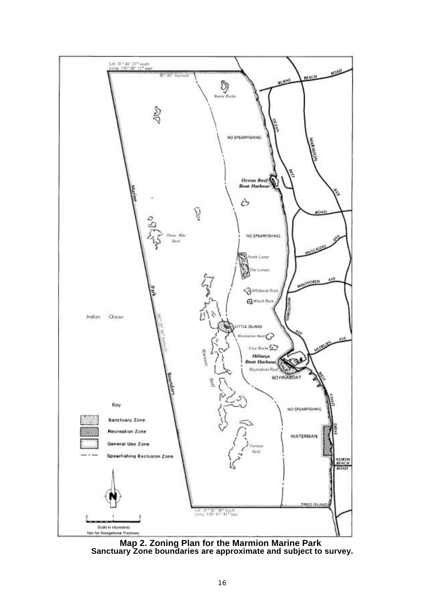

**Map 2. Zoning Plan for the Marmion Marine Park Sanctuary Zone boundaries are approximate and subject to survey.**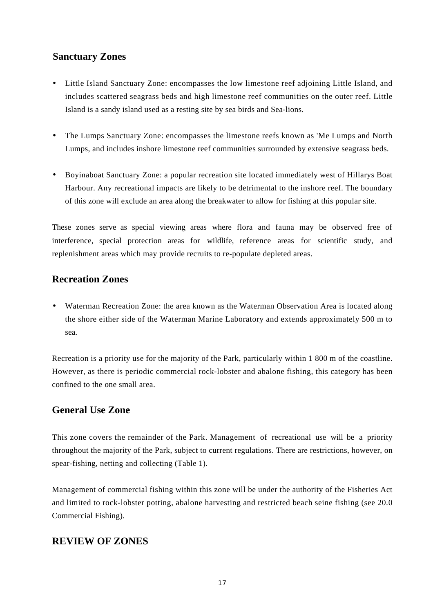#### **Sanctuary Zones**

- Little Island Sanctuary Zone: encompasses the low limestone reef adjoining Little Island, and includes scattered seagrass beds and high limestone reef communities on the outer reef. Little Island is a sandy island used as a resting site by sea birds and Sea-lions.
- The Lumps Sanctuary Zone: encompasses the limestone reefs known as 'Me Lumps and North Lumps, and includes inshore limestone reef communities surrounded by extensive seagrass beds.
- Boyinaboat Sanctuary Zone: a popular recreation site located immediately west of Hillarys Boat Harbour. Any recreational impacts are likely to be detrimental to the inshore reef. The boundary of this zone will exclude an area along the breakwater to allow for fishing at this popular site.

These zones serve as special viewing areas where flora and fauna may be observed free of interference, special protection areas for wildlife, reference areas for scientific study, and replenishment areas which may provide recruits to re-populate depleted areas.

#### **Recreation Zones**

• Waterman Recreation Zone: the area known as the Waterman Observation Area is located along the shore either side of the Waterman Marine Laboratory and extends approximately 500 m to sea.

Recreation is a priority use for the majority of the Park, particularly within 1 800 m of the coastline. However, as there is periodic commercial rock-lobster and abalone fishing, this category has been confined to the one small area.

#### **General Use Zone**

This zone covers the remainder of the Park. Management of recreational use will be a priority throughout the majority of the Park, subject to current regulations. There are restrictions, however, on spear-fishing, netting and collecting (Table 1).

Management of commercial fishing within this zone will be under the authority of the Fisheries Act and limited to rock-lobster potting, abalone harvesting and restricted beach seine fishing (see 20.0 Commercial Fishing).

#### **REVIEW OF ZONES**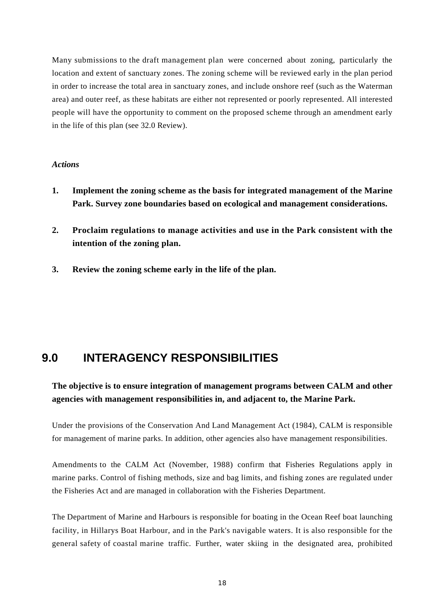Many submissions to the draft management plan were concerned about zoning, particularly the location and extent of sanctuary zones. The zoning scheme will be reviewed early in the plan period in order to increase the total area in sanctuary zones, and include onshore reef (such as the Waterman area) and outer reef, as these habitats are either not represented or poorly represented. All interested people will have the opportunity to comment on the proposed scheme through an amendment early in the life of this plan (see 32.0 Review).

#### *Actions*

- **1. Implement the zoning scheme as the basis for integrated management of the Marine Park. Survey zone boundaries based on ecological and management considerations.**
- **2. Proclaim regulations to manage activities and use in the Park consistent with the intention of the zoning plan.**
- **3. Review the zoning scheme early in the life of the plan.**

## **9.0 INTERAGENCY RESPONSIBILITIES**

#### **The objective is to ensure integration of management programs between CALM and other agencies with management responsibilities in, and adjacent to, the Marine Park.**

Under the provisions of the Conservation And Land Management Act (1984), CALM is responsible for management of marine parks. In addition, other agencies also have management responsibilities.

Amendments to the CALM Act (November, 1988) confirm that Fisheries Regulations apply in marine parks. Control of fishing methods, size and bag limits, and fishing zones are regulated under the Fisheries Act and are managed in collaboration with the Fisheries Department.

The Department of Marine and Harbours is responsible for boating in the Ocean Reef boat launching facility, in Hillarys Boat Harbour, and in the Park's navigable waters. It is also responsible for the general safety of coastal marine traffic. Further, water skiing in the designated area, prohibited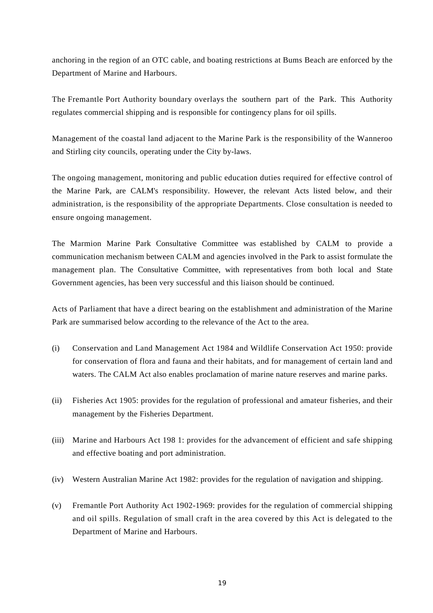anchoring in the region of an OTC cable, and boating restrictions at Bums Beach are enforced by the Department of Marine and Harbours.

The Fremantle Port Authority boundary overlays the southern part of the Park. This Authority regulates commercial shipping and is responsible for contingency plans for oil spills.

Management of the coastal land adjacent to the Marine Park is the responsibility of the Wanneroo and Stirling city councils, operating under the City by-laws.

The ongoing management, monitoring and public education duties required for effective control of the Marine Park, are CALM's responsibility. However, the relevant Acts listed below, and their administration, is the responsibility of the appropriate Departments. Close consultation is needed to ensure ongoing management.

The Marmion Marine Park Consultative Committee was established by CALM to provide a communication mechanism between CALM and agencies involved in the Park to assist formulate the management plan. The Consultative Committee, with representatives from both local and State Government agencies, has been very successful and this liaison should be continued.

Acts of Parliament that have a direct bearing on the establishment and administration of the Marine Park are summarised below according to the relevance of the Act to the area.

- (i) Conservation and Land Management Act 1984 and Wildlife Conservation Act 1950: provide for conservation of flora and fauna and their habitats, and for management of certain land and waters. The CALM Act also enables proclamation of marine nature reserves and marine parks.
- (ii) Fisheries Act 1905: provides for the regulation of professional and amateur fisheries, and their management by the Fisheries Department.
- (iii) Marine and Harbours Act 198 1: provides for the advancement of efficient and safe shipping and effective boating and port administration.
- (iv) Western Australian Marine Act 1982: provides for the regulation of navigation and shipping.
- (v) Fremantle Port Authority Act 1902-1969: provides for the regulation of commercial shipping and oil spills. Regulation of small craft in the area covered by this Act is delegated to the Department of Marine and Harbours.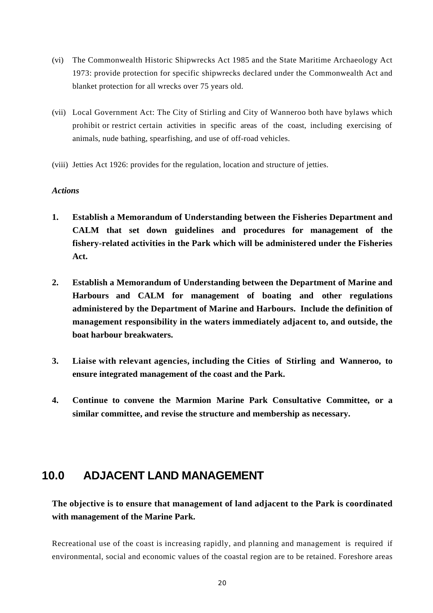- (vi) The Commonwealth Historic Shipwrecks Act 1985 and the State Maritime Archaeology Act 1973: provide protection for specific shipwrecks declared under the Commonwealth Act and blanket protection for all wrecks over 75 years old.
- (vii) Local Government Act: The City of Stirling and City of Wanneroo both have bylaws which prohibit or restrict certain activities in specific areas of the coast, including exercising of animals, nude bathing, spearfishing, and use of off-road vehicles.
- (viii) Jetties Act 1926: provides for the regulation, location and structure of jetties.

#### *Actions*

- **1. Establish a Memorandum of Understanding between the Fisheries Department and CALM that set down guidelines and procedures for management of the fishery-related activities in the Park which will be administered under the Fisheries Act.**
- **2. Establish a Memorandum of Understanding between the Department of Marine and Harbours and CALM for management of boating and other regulations administered by the Department of Marine and Harbours. Include the definition of management responsibility in the waters immediately adjacent to, and outside, the boat harbour breakwaters.**
- **3. Liaise with relevant agencies, including the Cities of Stirling and Wanneroo, to ensure integrated management of the coast and the Park.**
- **4. Continue to convene the Marmion Marine Park Consultative Committee, or a similar committee, and revise the structure and membership as necessary.**

## **10.0 ADJACENT LAND MANAGEMENT**

#### **The objective is to ensure that management of land adjacent to the Park is coordinated with management of the Marine Park.**

Recreational use of the coast is increasing rapidly, and planning and management is required if environmental, social and economic values of the coastal region are to be retained. Foreshore areas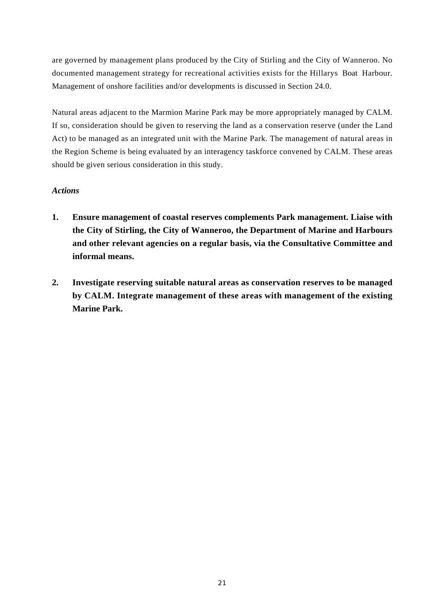are governed by management plans produced by the City of Stirling and the City of Wanneroo. No documented management strategy for recreational activities exists for the Hillarys Boat Harbour. Management of onshore facilities and/or developments is discussed in Section 24.0.

Natural areas adjacent to the Marmion Marine Park may be more appropriately managed by CALM. If so, consideration should be given to reserving the land as a conservation reserve (under the Land Act) to be managed as an integrated unit with the Marine Park. The management of natural areas in the Region Scheme is being evaluated by an interagency taskforce convened by CALM. These areas should be given serious consideration in this study.

#### *Actions*

- **1. Ensure management of coastal reserves complements Park management. Liaise with the City of Stirling, the City of Wanneroo, the Department of Marine and Harbours and other relevant agencies on a regular basis, via the Consultative Committee and informal means.**
- **2. Investigate reserving suitable natural areas as conservation reserves to be managed by CALM. Integrate management of these areas with management of the existing Marine Park.**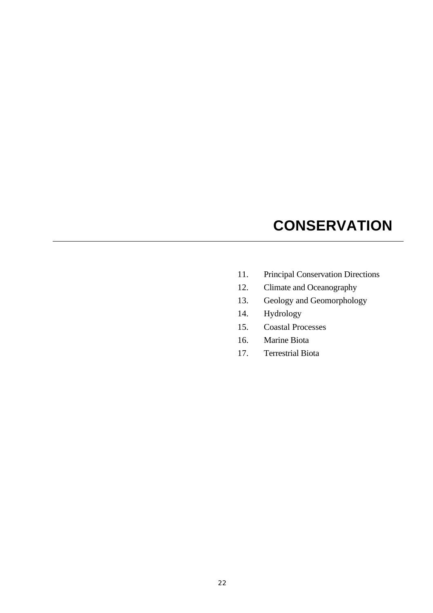# **CONSERVATION**

- 11. Principal Conservation Directions
- 12. Climate and Oceanography
- 13. Geology and Geomorphology
- 14. Hydrology
- 15. Coastal Processes
- 16. Marine Biota
- 17. Terrestrial Biota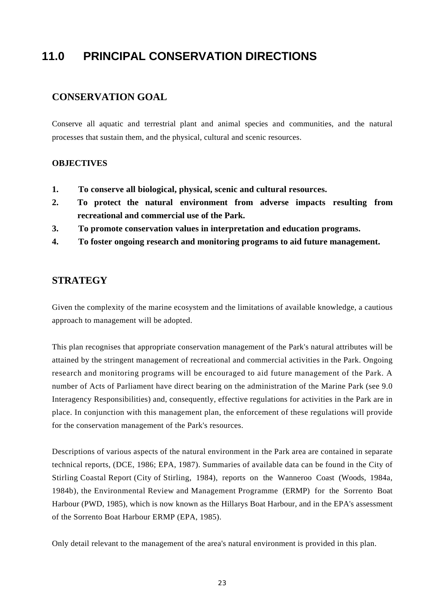## **11.0 PRINCIPAL CONSERVATION DIRECTIONS**

#### **CONSERVATION GOAL**

Conserve all aquatic and terrestrial plant and animal species and communities, and the natural processes that sustain them, and the physical, cultural and scenic resources.

#### **OBJECTIVES**

- **1. To conserve all biological, physical, scenic and cultural resources.**
- **2. To protect the natural environment from adverse impacts resulting from recreational and commercial use of the Park.**
- **3. To promote conservation values in interpretation and education programs.**
- **4. To foster ongoing research and monitoring programs to aid future management.**

#### **STRATEGY**

Given the complexity of the marine ecosystem and the limitations of available knowledge, a cautious approach to management will be adopted.

This plan recognises that appropriate conservation management of the Park's natural attributes will be attained by the stringent management of recreational and commercial activities in the Park. Ongoing research and monitoring programs will be encouraged to aid future management of the Park. A number of Acts of Parliament have direct bearing on the administration of the Marine Park (see 9.0 Interagency Responsibilities) and, consequently, effective regulations for activities in the Park are in place. In conjunction with this management plan, the enforcement of these regulations will provide for the conservation management of the Park's resources.

Descriptions of various aspects of the natural environment in the Park area are contained in separate technical reports, (DCE, 1986; EPA, 1987). Summaries of available data can be found in the City of Stirling Coastal Report (City of Stirling, 1984), reports on the Wanneroo Coast (Woods, 1984a, 1984b), the Environmental Review and Management Programme (ERMP) for the Sorrento Boat Harbour (PWD, 1985), which is now known as the Hillarys Boat Harbour, and in the EPA's assessment of the Sorrento Boat Harbour ERMP (EPA, 1985).

Only detail relevant to the management of the area's natural environment is provided in this plan.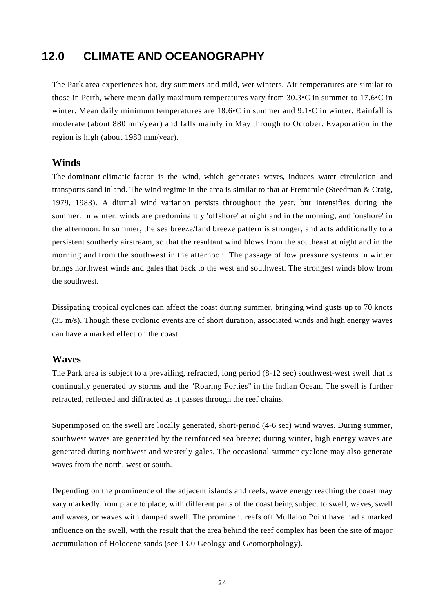## **12.0 CLIMATE AND OCEANOGRAPHY**

The Park area experiences hot, dry summers and mild, wet winters. Air temperatures are similar to those in Perth, where mean daily maximum temperatures vary from 30.3•C in summer to 17.6•C in winter. Mean daily minimum temperatures are 18.6•C in summer and 9.1•C in winter. Rainfall is moderate (about 880 mm/year) and falls mainly in May through to October. Evaporation in the region is high (about 1980 mm/year).

#### **Winds**

The dominant climatic factor is the wind, which generates waves, induces water circulation and transports sand inland. The wind regime in the area is similar to that at Fremantle (Steedman & Craig, 1979, 1983). A diurnal wind variation persists throughout the year, but intensifies during the summer. In winter, winds are predominantly 'offshore' at night and in the morning, and 'onshore' in the afternoon. In summer, the sea breeze/land breeze pattern is stronger, and acts additionally to a persistent southerly airstream, so that the resultant wind blows from the southeast at night and in the morning and from the southwest in the afternoon. The passage of low pressure systems in winter brings northwest winds and gales that back to the west and southwest. The strongest winds blow from the southwest.

Dissipating tropical cyclones can affect the coast during summer, bringing wind gusts up to 70 knots (35 m/s). Though these cyclonic events are of short duration, associated winds and high energy waves can have a marked effect on the coast.

#### **Waves**

The Park area is subject to a prevailing, refracted, long period (8-12 sec) southwest-west swell that is continually generated by storms and the "Roaring Forties" in the Indian Ocean. The swell is further refracted, reflected and diffracted as it passes through the reef chains.

Superimposed on the swell are locally generated, short-period (4-6 sec) wind waves. During summer, southwest waves are generated by the reinforced sea breeze; during winter, high energy waves are generated during northwest and westerly gales. The occasional summer cyclone may also generate waves from the north, west or south.

Depending on the prominence of the adjacent islands and reefs, wave energy reaching the coast may vary markedly from place to place, with different parts of the coast being subject to swell, waves, swell and waves, or waves with damped swell. The prominent reefs off Mullaloo Point have had a marked influence on the swell, with the result that the area behind the reef complex has been the site of major accumulation of Holocene sands (see 13.0 Geology and Geomorphology).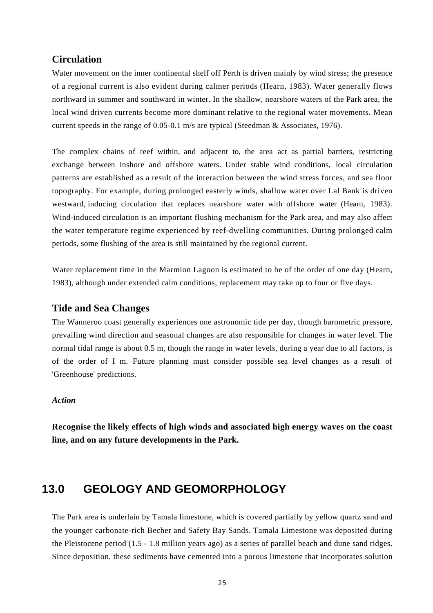#### **Circulation**

Water movement on the inner continental shelf off Perth is driven mainly by wind stress; the presence of a regional current is also evident during calmer periods (Hearn, 1983). Water generally flows northward in summer and southward in winter. In the shallow, nearshore waters of the Park area, the local wind driven currents become more dominant relative to the regional water movements. Mean current speeds in the range of 0.05-0.1 m/s are typical (Steedman & Associates, 1976).

The complex chains of reef within, and adjacent to, the area act as partial barriers, restricting exchange between inshore and offshore waters. Under stable wind conditions, local circulation patterns are established as a result of the interaction between the wind stress forces, and sea floor topography. For example, during prolonged easterly winds, shallow water over Lal Bank is driven westward, inducing circulation that replaces nearshore water with offshore water (Hearn, 1983). Wind-induced circulation is an important flushing mechanism for the Park area, and may also affect the water temperature regime experienced by reef-dwelling communities. During prolonged calm periods, some flushing of the area is still maintained by the regional current.

Water replacement time in the Marmion Lagoon is estimated to be of the order of one day (Hearn, 1983), although under extended calm conditions, replacement may take up to four or five days.

#### **Tide and Sea Changes**

The Wanneroo coast generally experiences one astronomic tide per day, though barometric pressure, prevailing wind direction and seasonal changes are also responsible for changes in water level. The normal tidal range is about 0.5 m, though the range in water levels, during a year due to all factors, is of the order of I m. Future planning must consider possible sea level changes as a result of 'Greenhouse' predictions.

#### *Action*

**Recognise the likely effects of high winds and associated high energy waves on the coast line, and on any future developments in the Park.**

## **13.0 GEOLOGY AND GEOMORPHOLOGY**

The Park area is underlain by Tamala limestone, which is covered partially by yellow quartz sand and the younger carbonate-rich Becher and Safety Bay Sands. Tamala Limestone was deposited during the Pleistocene period (1.5 - 1.8 million years ago) as a series of parallel beach and dune sand ridges. Since deposition, these sediments have cemented into a porous limestone that incorporates solution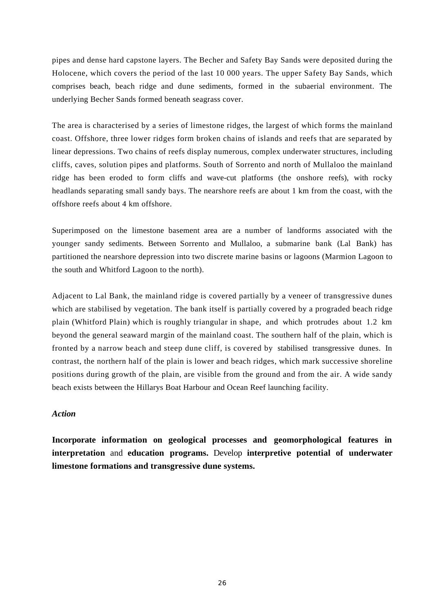pipes and dense hard capstone layers. The Becher and Safety Bay Sands were deposited during the Holocene, which covers the period of the last 10 000 years. The upper Safety Bay Sands, which comprises beach, beach ridge and dune sediments, formed in the subaerial environment. The underlying Becher Sands formed beneath seagrass cover.

The area is characterised by a series of limestone ridges, the largest of which forms the mainland coast. Offshore, three lower ridges form broken chains of islands and reefs that are separated by linear depressions. Two chains of reefs display numerous, complex underwater structures, including cliffs, caves, solution pipes and platforms. South of Sorrento and north of Mullaloo the mainland ridge has been eroded to form cliffs and wave-cut platforms (the onshore reefs), with rocky headlands separating small sandy bays. The nearshore reefs are about 1 km from the coast, with the offshore reefs about 4 km offshore.

Superimposed on the limestone basement area are a number of landforms associated with the younger sandy sediments. Between Sorrento and Mullaloo, a submarine bank (Lal Bank) has partitioned the nearshore depression into two discrete marine basins or lagoons (Marmion Lagoon to the south and Whitford Lagoon to the north).

Adjacent to Lal Bank, the mainland ridge is covered partially by a veneer of transgressive dunes which are stabilised by vegetation. The bank itself is partially covered by a prograded beach ridge plain (Whitford Plain) which is roughly triangular in shape, and which protrudes about 1.2 km beyond the general seaward margin of the mainland coast. The southern half of the plain, which is fronted by a narrow beach and steep dune cliff, is covered by stabilised transgressive dunes. In contrast, the northern half of the plain is lower and beach ridges, which mark successive shoreline positions during growth of the plain, are visible from the ground and from the air. A wide sandy beach exists between the Hillarys Boat Harbour and Ocean Reef launching facility.

#### *Action*

**Incorporate information on geological processes and geomorphological features in interpretation** and **education programs.** Develop **interpretive potential of underwater limestone formations and transgressive dune systems.**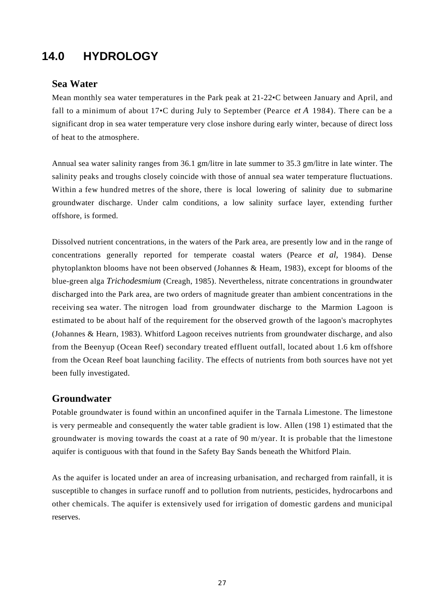## **14.0 HYDROLOGY**

#### **Sea Water**

Mean monthly sea water temperatures in the Park peak at 21-22•C between January and April, and fall to a minimum of about 17•C during July to September (Pearce *et A* 1984). There can be a significant drop in sea water temperature very close inshore during early winter, because of direct loss of heat to the atmosphere.

Annual sea water salinity ranges from 36.1 gm/litre in late summer to 35.3 gm/litre in late winter. The salinity peaks and troughs closely coincide with those of annual sea water temperature fluctuations. Within a few hundred metres of the shore, there is local lowering of salinity due to submarine groundwater discharge. Under calm conditions, a low salinity surface layer, extending further offshore, is formed.

Dissolved nutrient concentrations, in the waters of the Park area, are presently low and in the range of concentrations generally reported for temperate coastal waters (Pearce *et al,* 1984). Dense phytoplankton blooms have not been observed (Johannes & Heam, 1983), except for blooms of the blue-green alga *Trichodesmium* (Creagh, 1985). Nevertheless, nitrate concentrations in groundwater discharged into the Park area, are two orders of magnitude greater than ambient concentrations in the receiving sea water. The nitrogen load from groundwater discharge to the Marmion Lagoon is estimated to be about half of the requirement for the observed growth of the lagoon's macrophytes (Johannes & Hearn, 1983). Whitford Lagoon receives nutrients from groundwater discharge, and also from the Beenyup (Ocean Reef) secondary treated effluent outfall, located about 1.6 km offshore from the Ocean Reef boat launching facility. The effects of nutrients from both sources have not yet been fully investigated.

#### **Groundwater**

Potable groundwater is found within an unconfined aquifer in the Tarnala Limestone. The limestone is very permeable and consequently the water table gradient is low. Allen (198 1) estimated that the groundwater is moving towards the coast at a rate of 90 m/year. It is probable that the limestone aquifer is contiguous with that found in the Safety Bay Sands beneath the Whitford Plain.

As the aquifer is located under an area of increasing urbanisation, and recharged from rainfall, it is susceptible to changes in surface runoff and to pollution from nutrients, pesticides, hydrocarbons and other chemicals. The aquifer is extensively used for irrigation of domestic gardens and municipal reserves.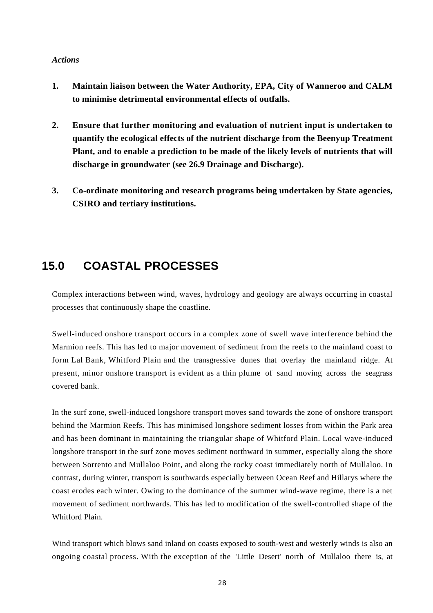#### *Actions*

- **1. Maintain liaison between the Water Authority, EPA, City of Wanneroo and CALM to minimise detrimental environmental effects of outfalls.**
- **2. Ensure that further monitoring and evaluation of nutrient input is undertaken to quantify the ecological effects of the nutrient discharge from the Beenyup Treatment Plant, and to enable a prediction to be made of the likely levels of nutrients that will discharge in groundwater (see 26.9 Drainage and Discharge).**
- **3. Co-ordinate monitoring and research programs being undertaken by State agencies, CSIRO and tertiary institutions.**

### **15.0 COASTAL PROCESSES**

Complex interactions between wind, waves, hydrology and geology are always occurring in coastal processes that continuously shape the coastline.

Swell-induced onshore transport occurs in a complex zone of swell wave interference behind the Marmion reefs. This has led to major movement of sediment from the reefs to the mainland coast to form Lal Bank, Whitford Plain and the transgressive dunes that overlay the mainland ridge. At present, minor onshore transport is evident as a thin plume of sand moving across the seagrass covered bank.

In the surf zone, swell-induced longshore transport moves sand towards the zone of onshore transport behind the Marmion Reefs. This has minimised longshore sediment losses from within the Park area and has been dominant in maintaining the triangular shape of Whitford Plain. Local wave-induced longshore transport in the surf zone moves sediment northward in summer, especially along the shore between Sorrento and Mullaloo Point, and along the rocky coast immediately north of Mullaloo. In contrast, during winter, transport is southwards especially between Ocean Reef and Hillarys where the coast erodes each winter. Owing to the dominance of the summer wind-wave regime, there is a net movement of sediment northwards. This has led to modification of the swell-controlled shape of the Whitford Plain.

Wind transport which blows sand inland on coasts exposed to south-west and westerly winds is also an ongoing coastal process. With the exception of the 'Little Desert' north of Mullaloo there is, at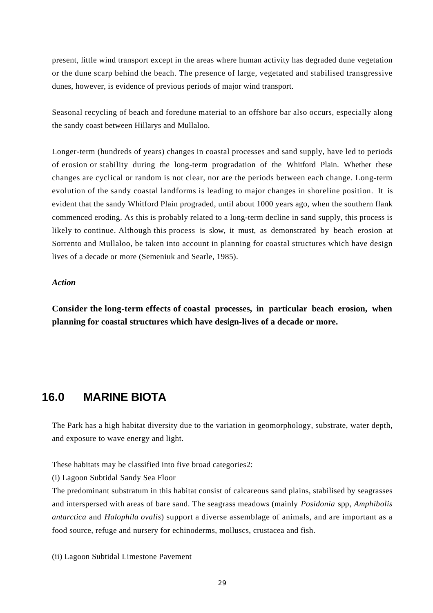present, little wind transport except in the areas where human activity has degraded dune vegetation or the dune scarp behind the beach. The presence of large, vegetated and stabilised transgressive dunes, however, is evidence of previous periods of major wind transport.

Seasonal recycling of beach and foredune material to an offshore bar also occurs, especially along the sandy coast between Hillarys and Mullaloo.

Longer-term (hundreds of years) changes in coastal processes and sand supply, have led to periods of erosion or stability during the long-term progradation of the Whitford Plain. Whether these changes are cyclical or random is not clear, nor are the periods between each change. Long-term evolution of the sandy coastal landforms is leading to major changes in shoreline position. It is evident that the sandy Whitford Plain prograded, until about 1000 years ago, when the southern flank commenced eroding. As this is probably related to a long-term decline in sand supply, this process is likely to continue. Although this process is slow, it must, as demonstrated by beach erosion at Sorrento and Mullaloo, be taken into account in planning for coastal structures which have design lives of a decade or more (Semeniuk and Searle, 1985).

#### *Action*

**Consider the long-term effects of coastal processes, in particular beach erosion, when planning for coastal structures which have design-lives of a decade or more.**

### **16.0 MARINE BIOTA**

The Park has a high habitat diversity due to the variation in geomorphology, substrate, water depth, and exposure to wave energy and light.

These habitats may be classified into five broad categories2:

(i) Lagoon Subtidal Sandy Sea Floor

The predominant substratum in this habitat consist of calcareous sand plains, stabilised by seagrasses and interspersed with areas of bare sand. The seagrass meadows (mainly *Posidonia* spp*, Amphibolis antarctica* and *Halophila ovalis*) support a diverse assemblage of animals, and are important as a food source, refuge and nursery for echinoderms, molluscs, crustacea and fish.

(ii) Lagoon Subtidal Limestone Pavement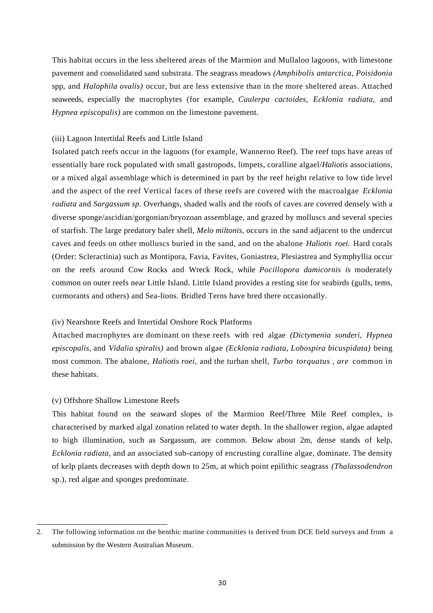This habitat occurs in the less sheltered areas of the Marmion and Mullaloo lagoons, with limestone pavement and consolidated sand substrata. The seagrass meadows *(Amphibolis antarctica, Poisidonia* spp, and *Halophila ovalis)* occur, but are less extensive than in the more sheltered areas. Attached seaweeds, especially the macrophytes (for example, *Caulerpa cactoides, Ecklonia radiata,* and *Hypnea episcopalis)* are common on the limestone pavement.

#### (iii) Lagoon Intertidal Reefs and Little Island

Isolated patch reefs occur in the lagoons (for example, Wanneroo Reef). The reef tops have areas of essentially bare rock populated with small gastropods, limpets, coralline algael/*Haliotis* associations, or a mixed algal assemblage which is determined in part by the reef height relative to low tide level and the aspect of the reef Vertical faces of these reefs are covered with the macroalgae *Ecklonia radiata* and *Sargassum sp.* Overhangs, shaded walls and the roofs of caves are covered densely with a diverse sponge/ascidian/gorgonian/bryozoan assemblage, and grazed by molluscs and several species of starfish. The large predatory baler shell, *Melo miltonis,* occurs in the sand adjacent to the undercut caves and feeds on other molluscs buried in the sand, and on the abalone *Haliotis roei.* Hard corals (Order: Scleractinia) such as Montipora, Favia, Favites, Goniastrea, Plesiastrea and Symphyllia occur on the reefs around Cow Rocks and Wreck Rock, while *Pocillopora damicornis is* moderately common on outer reefs near Little Island. Little Island provides a resting site for seabirds (gulls, tems, cormorants and others) and Sea-lions. Bridled Terns have bred there occasionally.

#### (iv) Nearshore Reefs and Intertidal Onshore Rock Platforms

Attached macrophytes are dominant on these reefs with red algae *(Dictymenia sonderi, Hypnea episcopalis,* and *Vidalia spiralis)* and brown algae *(Ecklonia radiata, Lobospira bicuspidata)* being most common. The abalone, *Haliotis roei,* and the turban shell, *Turbo torquatus , are* common in these habitats.

#### (v) Offshore Shallow Limestone Reefs

This habitat found on the seaward slopes of the Marmion Reef/Three Mile Reef complex, is characterised by marked algal zonation related to water depth. In the shallower region, algae adapted to high illumination, such as Sargassum, are common. Below about 2m, dense stands of kelp, *Ecklonia radiata,* and an associated sub-canopy of encrusting coralline algae, dominate. The density of kelp plants decreases with depth down to 25m, at which point epilithic seagrass *(Thalassodendron* sp.), red algae and sponges predominate.

<sup>2.</sup> The following information on the benthic marine communities is derived from DCE field surveys and from a submission by the Western Australian Museum.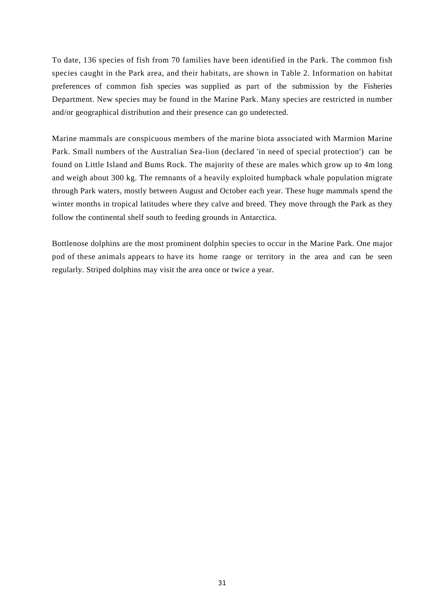To date, 136 species of fish from 70 families have been identified in the Park. The common fish species caught in the Park area, and their habitats, are shown in Table 2. Information on habitat preferences of common fish species was supplied as part of the submission by the Fisheries Department. New species may be found in the Marine Park. Many species are restricted in number and/or geographical distribution and their presence can go undetected.

Marine mammals are conspicuous members of the marine biota associated with Marmion Marine Park. Small numbers of the Australian Sea-lion (declared 'in need of special protection') can be found on Little Island and Bums Rock. The majority of these are males which grow up to 4m long and weigh about 300 kg. The remnants of a heavily exploited humpback whale population migrate through Park waters, mostly between August and October each year. These huge mammals spend the winter months in tropical latitudes where they calve and breed. They move through the Park as they follow the continental shelf south to feeding grounds in Antarctica.

Bottlenose dolphins are the most prominent dolphin species to occur in the Marine Park. One major pod of these animals appears to have its home range or territory in the area and can be seen regularly. Striped dolphins may visit the area once or twice a year.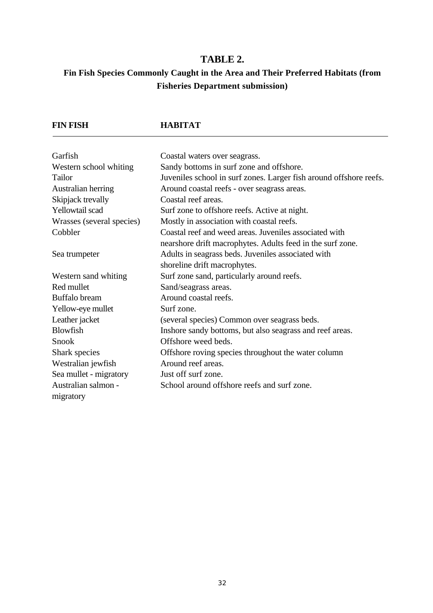### **TABLE 2.**

### **Fin Fish Species Commonly Caught in the Area and Their Preferred Habitats (from Fisheries Department submission)**

### **FIN FISH HABITAT**

| Garfish                          | Coastal waters over seagrass.                                      |
|----------------------------------|--------------------------------------------------------------------|
| Western school whiting           | Sandy bottoms in surf zone and offshore.                           |
| Tailor                           | Juveniles school in surf zones. Larger fish around offshore reefs. |
| Australian herring               | Around coastal reefs - over seagrass areas.                        |
| Skipjack trevally                | Coastal reef areas.                                                |
| Yellowtail scad                  | Surf zone to offshore reefs. Active at night.                      |
| Wrasses (several species)        | Mostly in association with coastal reefs.                          |
| Cobbler                          | Coastal reef and weed areas. Juveniles associated with             |
|                                  | nearshore drift macrophytes. Adults feed in the surf zone.         |
| Sea trumpeter                    | Adults in seagrass beds. Juveniles associated with                 |
|                                  | shoreline drift macrophytes.                                       |
| Western sand whiting             | Surf zone sand, particularly around reefs.                         |
| Red mullet                       | Sand/seagrass areas.                                               |
| Buffalo bream                    | Around coastal reefs.                                              |
| Yellow-eye mullet                | Surf zone.                                                         |
| Leather jacket                   | (several species) Common over seagrass beds.                       |
| <b>Blowfish</b>                  | Inshore sandy bottoms, but also seagrass and reef areas.           |
| Snook                            | Offshore weed beds.                                                |
| Shark species                    | Offshore roving species throughout the water column                |
| Westralian jewfish               | Around reef areas.                                                 |
| Sea mullet - migratory           | Just off surf zone.                                                |
| Australian salmon -<br>migratory | School around offshore reefs and surf zone.                        |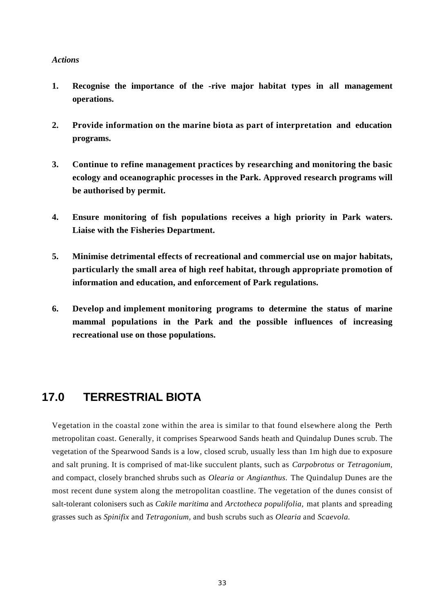#### *Actions*

- **1. Recognise the importance of the -rive major habitat types in all management operations.**
- **2. Provide information on the marine biota as part of interpretation and education programs.**
- **3. Continue to refine management practices by researching and monitoring the basic ecology and oceanographic processes in the Park. Approved research programs will be authorised by permit.**
- **4. Ensure monitoring of fish populations receives a high priority in Park waters. Liaise with the Fisheries Department.**
- **5. Minimise detrimental effects of recreational and commercial use on major habitats, particularly the small area of high reef habitat, through appropriate promotion of information and education, and enforcement of Park regulations.**
- **6. Develop and implement monitoring programs to determine the status of marine mammal populations in the Park and the possible influences of increasing recreational use on those populations.**

### **17.0 TERRESTRIAL BIOTA**

Vegetation in the coastal zone within the area is similar to that found elsewhere along the Perth metropolitan coast. Generally, it comprises Spearwood Sands heath and Quindalup Dunes scrub. The vegetation of the Spearwood Sands is a low, closed scrub, usually less than 1m high due to exposure and salt pruning. It is comprised of mat-like succulent plants, such as *Carpobrotus* or *Tetragonium,* and compact, closely branched shrubs such as *Olearia* or *Angianthus.* The Quindalup Dunes are the most recent dune system along the metropolitan coastline. The vegetation of the dunes consist of salt-tolerant colonisers such as *Cakile maritima* and *Arctotheca populifolia,* mat plants and spreading grasses such as *Spinifix* and *Tetragonium,* and bush scrubs such as *Olearia* and *Scaevola.*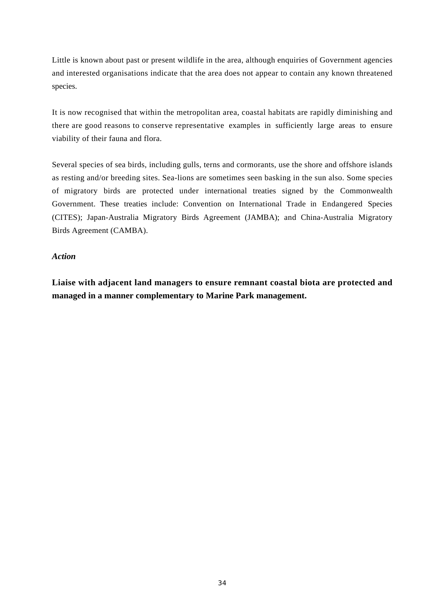Little is known about past or present wildlife in the area, although enquiries of Government agencies and interested organisations indicate that the area does not appear to contain any known threatened species.

It is now recognised that within the metropolitan area, coastal habitats are rapidly diminishing and there are good reasons to conserve representative examples in sufficiently large areas to ensure viability of their fauna and flora.

Several species of sea birds, including gulls, terns and cormorants, use the shore and offshore islands as resting and/or breeding sites. Sea-lions are sometimes seen basking in the sun also. Some species of migratory birds are protected under international treaties signed by the Commonwealth Government. These treaties include: Convention on International Trade in Endangered Species (CITES); Japan-Australia Migratory Birds Agreement (JAMBA); and China-Australia Migratory Birds Agreement (CAMBA).

#### *Action*

**Liaise with adjacent land managers to ensure remnant coastal biota are protected and managed in a manner complementary to Marine Park management.**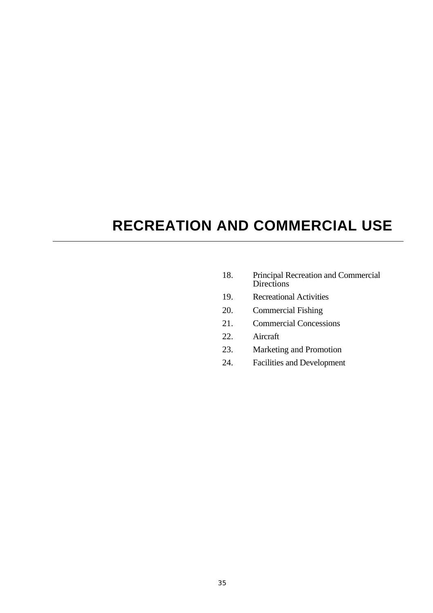## **RECREATION AND COMMERCIAL USE**

- 18. Principal Recreation and Commercial Directions
- 19. Recreational Activities
- 20. Commercial Fishing
- 21. Commercial Concessions
- 22. Aircraft
- 23. Marketing and Promotion
- 24. Facilities and Development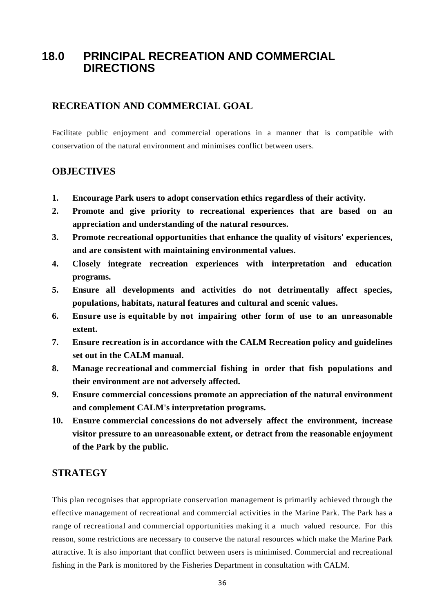### **18.0 PRINCIPAL RECREATION AND COMMERCIAL DIRECTIONS**

### **RECREATION AND COMMERCIAL GOAL**

Facilitate public enjoyment and commercial operations in a manner that is compatible with conservation of the natural environment and minimises conflict between users.

### **OBJECTIVES**

- **1. Encourage Park users to adopt conservation ethics regardless of their activity.**
- **2. Promote and give priority to recreational experiences that are based on an appreciation and understanding of the natural resources.**
- **3. Promote recreational opportunities that enhance the quality of visitors' experiences, and are consistent with maintaining environmental values.**
- **4. Closely integrate recreation experiences with interpretation and education programs.**
- **5. Ensure all developments and activities do not detrimentally affect species, populations, habitats, natural features and cultural and scenic values.**
- **6. Ensure use is equitable by not impairing other form of use to an unreasonable extent.**
- **7. Ensure recreation is in accordance with the CALM Recreation policy and guidelines set out in the CALM manual.**
- **8. Manage recreational and commercial fishing in order that fish populations and their environment are not adversely affected.**
- **9. Ensure commercial concessions promote an appreciation of the natural environment and complement CALM's interpretation programs.**
- **10. Ensure commercial concessions do not adversely affect the environment, increase visitor pressure to an unreasonable extent, or detract from the reasonable enjoyment of the Park by the public.**

### **STRATEGY**

This plan recognises that appropriate conservation management is primarily achieved through the effective management of recreational and commercial activities in the Marine Park. The Park has a range of recreational and commercial opportunities making it a much valued resource. For this reason, some restrictions are necessary to conserve the natural resources which make the Marine Park attractive. It is also important that conflict between users is minimised. Commercial and recreational fishing in the Park is monitored by the Fisheries Department in consultation with CALM.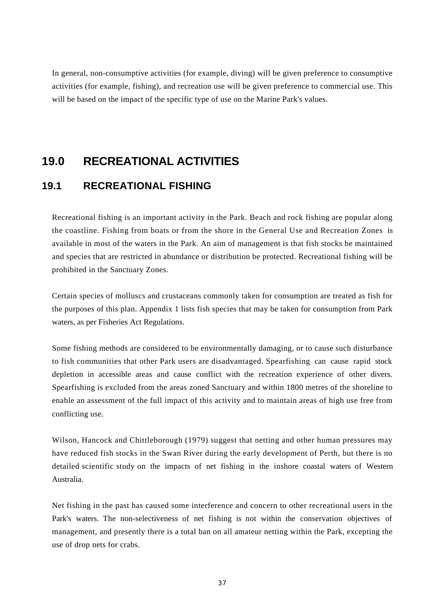In general, non-consumptive activities (for example, diving) will be given preference to consumptive activities (for example, fishing), and recreation use will be given preference to commercial use. This will be based on the impact of the specific type of use on the Marine Park's values.

### **19.0 RECREATIONAL ACTIVITIES**

### **19.1 RECREATIONAL FISHING**

Recreational fishing is an important activity in the Park. Beach and rock fishing are popular along the coastline. Fishing from boats or from the shore in the General Use and Recreation Zones is available in most of the waters in the Park. An aim of management is that fish stocks be maintained and species that are restricted in abundance or distribution be protected. Recreational fishing will be prohibited in the Sanctuary Zones.

Certain species of molluscs and crustaceans commonly taken for consumption are treated as fish for the purposes of this plan. Appendix 1 lists fish species that may be taken for consumption from Park waters, as per Fisheries Act Regulations.

Some fishing methods are considered to be environmentally damaging, or to cause such disturbance to fish communities that other Park users are disadvantaged. Spearfishing can cause rapid stock depletion in accessible areas and cause conflict with the recreation experience of other divers. Spearfishing is excluded from the areas zoned Sanctuary and within 1800 metres of the shoreline to enable an assessment of the full impact of this activity and to maintain areas of high use free from conflicting use.

Wilson, Hancock and Chittleborough (1979) suggest that netting and other human pressures may have reduced fish stocks in the Swan River during the early development of Perth, but there is no detailed scientific study on the impacts of net fishing in the inshore coastal waters of Western Australia.

Net fishing in the past has caused some interference and concern to other recreational users in the Park's waters. The non-selectiveness of net fishing is not within the conservation objectives of management, and presently there is a total ban on all amateur netting within the Park, excepting the use of drop nets for crabs.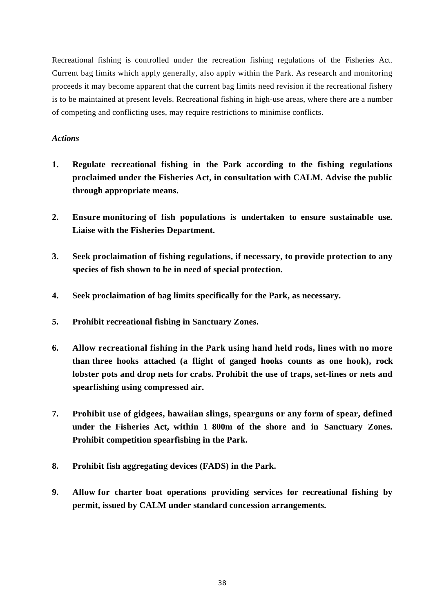Recreational fishing is controlled under the recreation fishing regulations of the Fisheries Act. Current bag limits which apply generally, also apply within the Park. As research and monitoring proceeds it may become apparent that the current bag limits need revision if the recreational fishery is to be maintained at present levels. Recreational fishing in high-use areas, where there are a number of competing and conflicting uses, may require restrictions to minimise conflicts.

- **1. Regulate recreational fishing in the Park according to the fishing regulations proclaimed under the Fisheries Act, in consultation with CALM. Advise the public through appropriate means.**
- **2. Ensure monitoring of fish populations is undertaken to ensure sustainable use. Liaise with the Fisheries Department.**
- **3. Seek proclaimation of fishing regulations, if necessary, to provide protection to any species of fish shown to be in need of special protection.**
- **4. Seek proclaimation of bag limits specifically for the Park, as necessary.**
- **5. Prohibit recreational fishing in Sanctuary Zones.**
- **6. Allow recreational fishing in the Park using hand held rods, lines with no more than three hooks attached (a flight of ganged hooks counts as one hook), rock lobster pots and drop nets for crabs. Prohibit the use of traps, set-lines or nets and spearfishing using compressed air.**
- **7. Prohibit use of gidgees, hawaiian slings, spearguns or any form of spear, defined under the Fisheries Act, within 1 800m of the shore and in Sanctuary Zones. Prohibit competition spearfishing in the Park.**
- **8. Prohibit fish aggregating devices (FADS) in the Park.**
- **9. Allow for charter boat operations providing services for recreational fishing by permit, issued by CALM under standard concession arrangements.**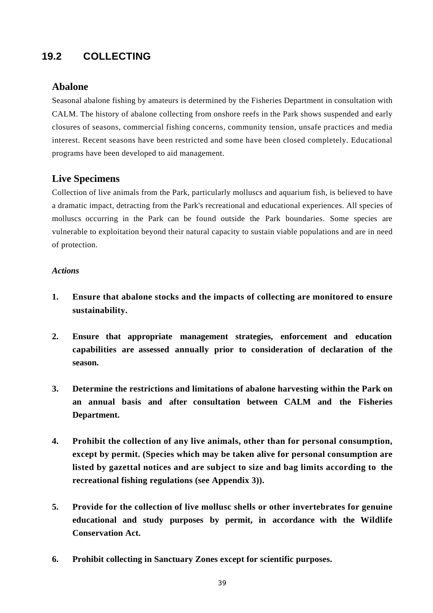### **19.2 COLLECTING**

### **Abalone**

Seasonal abalone fishing by amateurs is determined by the Fisheries Department in consultation with CALM. The history of abalone collecting from onshore reefs in the Park shows suspended and early closures of seasons, commercial fishing concerns, community tension, unsafe practices and media interest. Recent seasons have been restricted and some have been closed completely. Educational programs have been developed to aid management.

### **Live Specimens**

Collection of live animals from the Park, particularly molluscs and aquarium fish, is believed to have a dramatic impact, detracting from the Park's recreational and educational experiences. All species of molluscs occurring in the Park can be found outside the Park boundaries. Some species are vulnerable to exploitation beyond their natural capacity to sustain viable populations and are in need of protection.

- **1. Ensure that abalone stocks and the impacts of collecting are monitored to ensure sustainability.**
- **2. Ensure that appropriate management strategies, enforcement and education capabilities are assessed annually prior to consideration of declaration of the season.**
- **3. Determine the restrictions and limitations of abalone harvesting within the Park on an annual basis and after consultation between CALM and the Fisheries Department.**
- **4. Prohibit the collection of any live animals, other than for personal consumption, except by permit. (Species which may be taken alive for personal consumption are listed by gazettal notices and are subject to size and bag limits according to the recreational fishing regulations (see Appendix 3)).**
- **5. Provide for the collection of live mollusc shells or other invertebrates for genuine educational and study purposes by permit, in accordance with the Wildlife Conservation Act.**
- **6. Prohibit collecting in Sanctuary Zones except for scientific purposes.**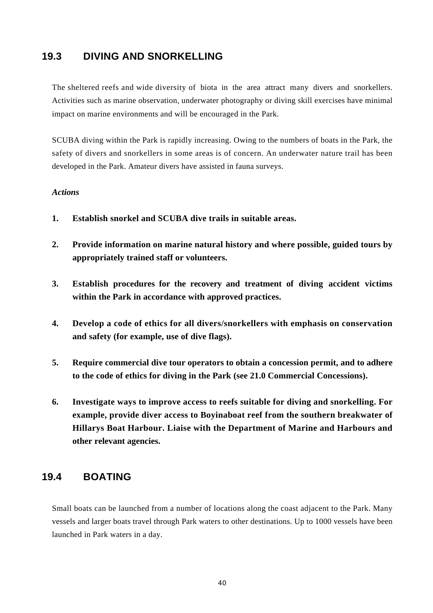### **19.3 DIVING AND SNORKELLING**

The sheltered reefs and wide diversity of biota in the area attract many divers and snorkellers. Activities such as marine observation, underwater photography or diving skill exercises have minimal impact on marine environments and will be encouraged in the Park.

SCUBA diving within the Park is rapidly increasing. Owing to the numbers of boats in the Park, the safety of divers and snorkellers in some areas is of concern. An underwater nature trail has been developed in the Park. Amateur divers have assisted in fauna surveys.

#### *Actions*

- **1. Establish snorkel and SCUBA dive trails in suitable areas.**
- **2. Provide information on marine natural history and where possible, guided tours by appropriately trained staff or volunteers.**
- **3. Establish procedures for the recovery and treatment of diving accident victims within the Park in accordance with approved practices.**
- **4. Develop a code of ethics for all divers/snorkellers with emphasis on conservation and safety (for example, use of dive flags).**
- **5. Require commercial dive tour operators to obtain a concession permit, and to adhere to the code of ethics for diving in the Park (see 21.0 Commercial Concessions).**
- **6. Investigate ways to improve access to reefs suitable for diving and snorkelling. For example, provide diver access to Boyinaboat reef from the southern breakwater of Hillarys Boat Harbour. Liaise with the Department of Marine and Harbours and other relevant agencies.**

### **19.4 BOATING**

Small boats can be launched from a number of locations along the coast adjacent to the Park. Many vessels and larger boats travel through Park waters to other destinations. Up to 1000 vessels have been launched in Park waters in a day.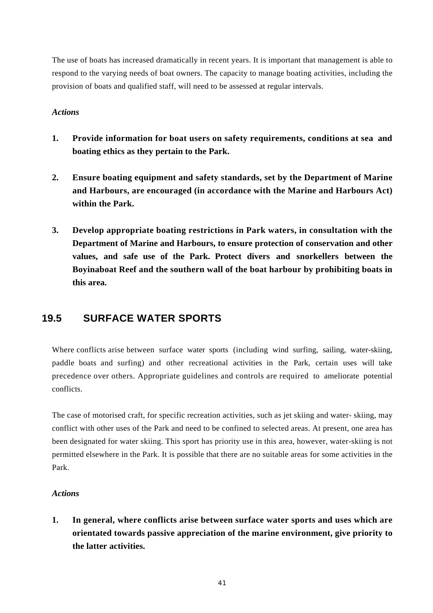The use of boats has increased dramatically in recent years. It is important that management is able to respond to the varying needs of boat owners. The capacity to manage boating activities, including the provision of boats and qualified staff, will need to be assessed at regular intervals.

#### *Actions*

- **1. Provide information for boat users on safety requirements, conditions at sea and boating ethics as they pertain to the Park.**
- **2. Ensure boating equipment and safety standards, set by the Department of Marine and Harbours, are encouraged (in accordance with the Marine and Harbours Act) within the Park.**
- **3. Develop appropriate boating restrictions in Park waters, in consultation with the Department of Marine and Harbours, to ensure protection of conservation and other values, and safe use of the Park. Protect divers and snorkellers between the Boyinaboat Reef and the southern wall of the boat harbour by prohibiting boats in this area.**

### **19.5 SURFACE WATER SPORTS**

Where conflicts arise between surface water sports (including wind surfing, sailing, water-skiing, paddle boats and surfing) and other recreational activities in the Park, certain uses will take precedence over others. Appropriate guidelines and controls are required to ameliorate potential conflicts.

The case of motorised craft, for specific recreation activities, such as jet skiing and water- skiing, may conflict with other uses of the Park and need to be confined to selected areas. At present, one area has been designated for water skiing. This sport has priority use in this area, however, water-skiing is not permitted elsewhere in the Park. It is possible that there are no suitable areas for some activities in the Park.

### *Actions*

**1. In general, where conflicts arise between surface water sports and uses which are orientated towards passive appreciation of the marine environment, give priority to the latter activities.**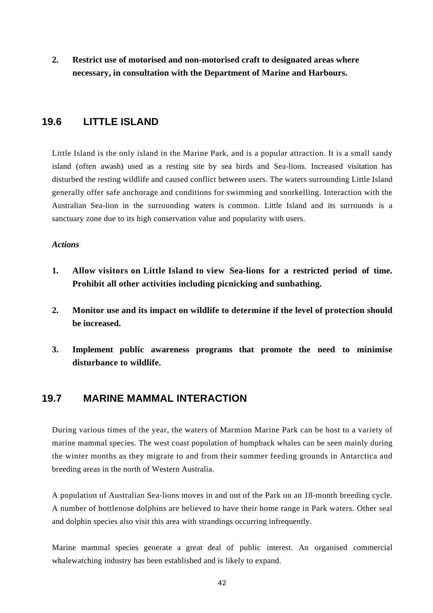**2. Restrict use of motorised and non-motorised craft to designated areas where necessary, in consultation with the Department of Marine and Harbours.**

### **19.6 LITTLE ISLAND**

Little Island is the only island in the Marine Park, and is a popular attraction. It is a small sandy island (often awash) used as a resting site by sea birds and Sea-lions. Increased visitation has disturbed the resting wildlife and caused conflict between users. The waters surrounding Little Island generally offer safe anchorage and conditions for swimming and snorkelling. Interaction with the Australian Sea-lion in the surrounding waters is common. Little Island and its surrounds is a sanctuary zone due to its high conservation value and popularity with users.

#### *Actions*

- **1. Allow visitors on Little Island to view Sea-lions for a restricted period of time. Prohibit all other activities including picnicking and sunbathing.**
- **2. Monitor use and its impact on wildlife to determine if the level of protection should be increased.**
- **3. Implement public awareness programs that promote the need to minimise disturbance to wildlife.**

### **19.7 MARINE MAMMAL INTERACTION**

During various times of the year, the waters of Marmion Marine Park can be host to a variety of marine mammal species. The west coast population of humpback whales can be seen mainly during the winter months as they migrate to and from their summer feeding grounds in Antarctica and breeding areas in the north of Western Australia.

A population of Australian Sea-lions moves in and out of the Park on an 18-month breeding cycle. A number of bottlenose dolphins are believed to have their home range in Park waters. Other seal and dolphin species also visit this area with strandings occurring infrequently.

Marine mammal species generate a great deal of public interest. An organised commercial whalewatching industry has been established and is likely to expand.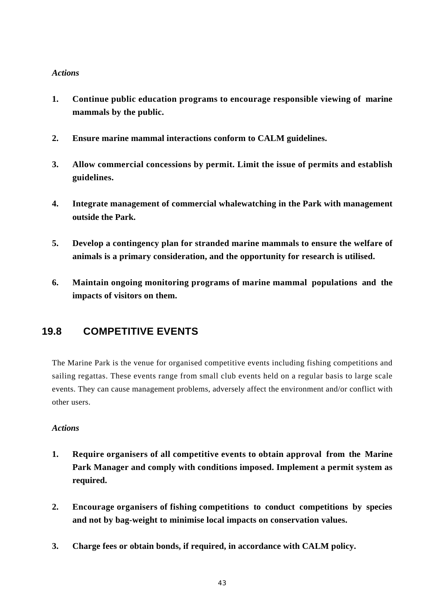#### *Actions*

- **1. Continue public education programs to encourage responsible viewing of marine mammals by the public.**
- **2. Ensure marine mammal interactions conform to CALM guidelines.**
- **3. Allow commercial concessions by permit. Limit the issue of permits and establish guidelines.**
- **4. Integrate management of commercial whalewatching in the Park with management outside the Park.**
- **5. Develop a contingency plan for stranded marine mammals to ensure the welfare of animals is a primary consideration, and the opportunity for research is utilised.**
- **6. Maintain ongoing monitoring programs of marine mammal populations and the impacts of visitors on them.**

### **19.8 COMPETITIVE EVENTS**

The Marine Park is the venue for organised competitive events including fishing competitions and sailing regattas. These events range from small club events held on a regular basis to large scale events. They can cause management problems, adversely affect the environment and/or conflict with other users.

- **1. Require organisers of all competitive events to obtain approval from the Marine Park Manager and comply with conditions imposed. Implement a permit system as required.**
- **2. Encourage organisers of fishing competitions to conduct competitions by species and not by bag-weight to minimise local impacts on conservation values.**
- **3. Charge fees or obtain bonds, if required, in accordance with CALM policy.**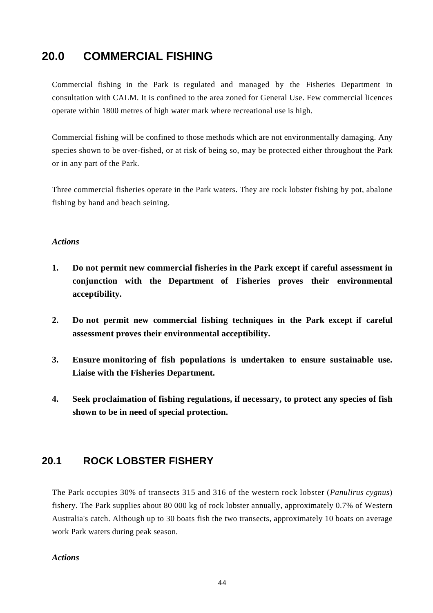### **20.0 COMMERCIAL FISHING**

Commercial fishing in the Park is regulated and managed by the Fisheries Department in consultation with CALM. It is confined to the area zoned for General Use. Few commercial licences operate within 1800 metres of high water mark where recreational use is high.

Commercial fishing will be confined to those methods which are not environmentally damaging. Any species shown to be over-fished, or at risk of being so, may be protected either throughout the Park or in any part of the Park.

Three commercial fisheries operate in the Park waters. They are rock lobster fishing by pot, abalone fishing by hand and beach seining.

#### *Actions*

- **1. Do not permit new commercial fisheries in the Park except if careful assessment in conjunction with the Department of Fisheries proves their environmental acceptibility.**
- **2. Do not permit new commercial fishing techniques in the Park except if careful assessment proves their environmental acceptibility.**
- **3. Ensure monitoring of fish populations is undertaken to ensure sustainable use. Liaise with the Fisheries Department.**
- **4. Seek proclaimation of fishing regulations, if necessary, to protect any species of fish shown to be in need of special protection.**

### **20.1 ROCK LOBSTER FISHERY**

The Park occupies 30% of transects 315 and 316 of the western rock lobster (*Panulirus cygnus*) fishery. The Park supplies about 80 000 kg of rock lobster annually, approximately 0.7% of Western Australia's catch. Although up to 30 boats fish the two transects, approximately 10 boats on average work Park waters during peak season.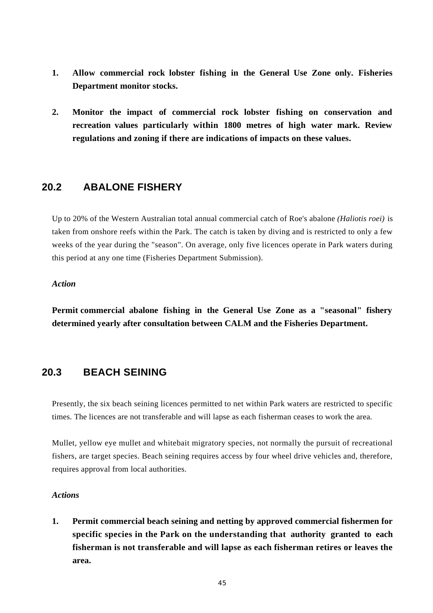- **1. Allow commercial rock lobster fishing in the General Use Zone only. Fisheries Department monitor stocks.**
- **2. Monitor the impact of commercial rock lobster fishing on conservation and recreation values particularly within 1800 metres of high water mark. Review regulations and zoning if there are indications of impacts on these values.**

### **20.2 ABALONE FISHERY**

Up to 20% of the Western Australian total annual commercial catch of Roe's abalone *(Haliotis roei)* is taken from onshore reefs within the Park. The catch is taken by diving and is restricted to only a few weeks of the year during the "season". On average, only five licences operate in Park waters during this period at any one time (Fisheries Department Submission).

#### *Action*

**Permit commercial abalone fishing in the General Use Zone as a "seasonal" fishery determined yearly after consultation between CALM and the Fisheries Department.**

### **20.3 BEACH SEINING**

Presently, the six beach seining licences permitted to net within Park waters are restricted to specific times. The licences are not transferable and will lapse as each fisherman ceases to work the area.

Mullet, yellow eye mullet and whitebait migratory species, not normally the pursuit of recreational fishers, are target species. Beach seining requires access by four wheel drive vehicles and, therefore, requires approval from local authorities.

#### *Actions*

**1. Permit commercial beach seining and netting by approved commercial fishermen for specific species in the Park on the understanding that authority granted to each fisherman is not transferable and will lapse as each fisherman retires or leaves the area.**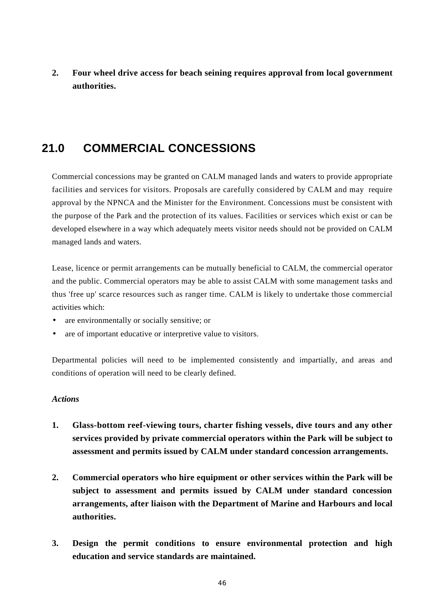**2. Four wheel drive access for beach seining requires approval from local government authorities.**

### **21.0 COMMERCIAL CONCESSIONS**

Commercial concessions may be granted on CALM managed lands and waters to provide appropriate facilities and services for visitors. Proposals are carefully considered by CALM and may require approval by the NPNCA and the Minister for the Environment. Concessions must be consistent with the purpose of the Park and the protection of its values. Facilities or services which exist or can be developed elsewhere in a way which adequately meets visitor needs should not be provided on CALM managed lands and waters.

Lease, licence or permit arrangements can be mutually beneficial to CALM, the commercial operator and the public. Commercial operators may be able to assist CALM with some management tasks and thus 'free up' scarce resources such as ranger time. CALM is likely to undertake those commercial activities which:

- are environmentally or socially sensitive; or
- are of important educative or interpretive value to visitors.

Departmental policies will need to be implemented consistently and impartially, and areas and conditions of operation will need to be clearly defined.

- **1. Glass-bottom reef-viewing tours, charter fishing vessels, dive tours and any other services provided by private commercial operators within the Park will be subject to assessment and permits issued by CALM under standard concession arrangements.**
- **2. Commercial operators who hire equipment or other services within the Park will be subject to assessment and permits issued by CALM under standard concession arrangements, after liaison with the Department of Marine and Harbours and local authorities.**
- **3. Design the permit conditions to ensure environmental protection and high education and service standards are maintained.**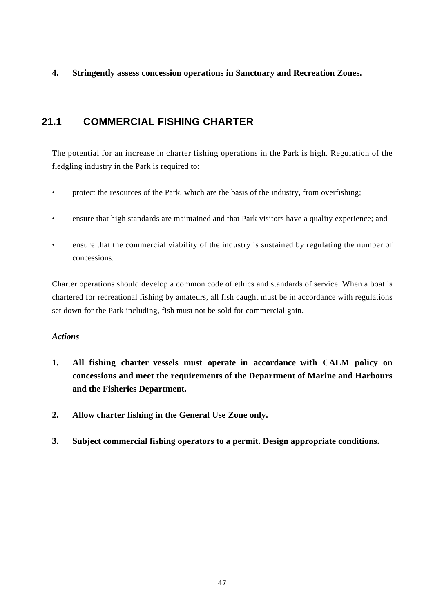**4. Stringently assess concession operations in Sanctuary and Recreation Zones.**

### **21.1 COMMERCIAL FISHING CHARTER**

The potential for an increase in charter fishing operations in the Park is high. Regulation of the fledgling industry in the Park is required to:

- protect the resources of the Park, which are the basis of the industry, from overfishing;
- ensure that high standards are maintained and that Park visitors have a quality experience; and
- ensure that the commercial viability of the industry is sustained by regulating the number of concessions.

Charter operations should develop a common code of ethics and standards of service. When a boat is chartered for recreational fishing by amateurs, all fish caught must be in accordance with regulations set down for the Park including, fish must not be sold for commercial gain.

- **1. All fishing charter vessels must operate in accordance with CALM policy on concessions and meet the requirements of the Department of Marine and Harbours and the Fisheries Department.**
- **2. Allow charter fishing in the General Use Zone only.**
- **3. Subject commercial fishing operators to a permit. Design appropriate conditions.**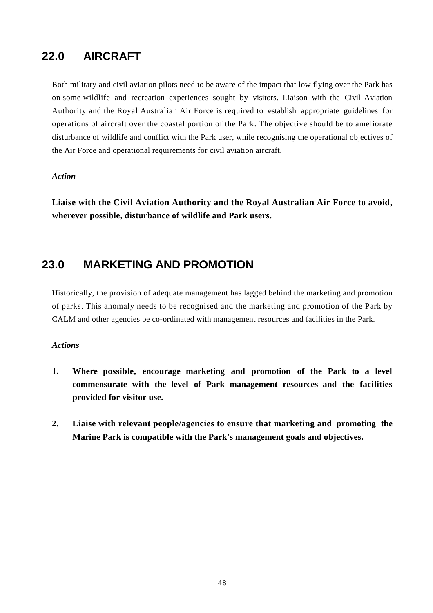### **22.0 AIRCRAFT**

Both military and civil aviation pilots need to be aware of the impact that low flying over the Park has on some wildlife and recreation experiences sought by visitors. Liaison with the Civil Aviation Authority and the Royal Australian Air Force is required to establish appropriate guidelines for operations of aircraft over the coastal portion of the Park. The objective should be to ameliorate disturbance of wildlife and conflict with the Park user, while recognising the operational objectives of the Air Force and operational requirements for civil aviation aircraft.

#### *Action*

**Liaise with the Civil Aviation Authority and the Royal Australian Air Force to avoid, wherever possible, disturbance of wildlife and Park users.**

### **23.0 MARKETING AND PROMOTION**

Historically, the provision of adequate management has lagged behind the marketing and promotion of parks. This anomaly needs to be recognised and the marketing and promotion of the Park by CALM and other agencies be co-ordinated with management resources and facilities in the Park.

- **1. Where possible, encourage marketing and promotion of the Park to a level commensurate with the level of Park management resources and the facilities provided for visitor use.**
- **2. Liaise with relevant people/agencies to ensure that marketing and promoting the Marine Park is compatible with the Park's management goals and objectives.**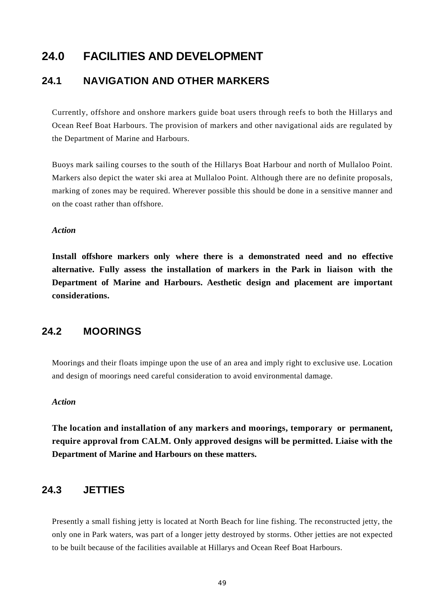### **24.0 FACILITIES AND DEVELOPMENT**

### **24.1 NAVIGATION AND OTHER MARKERS**

Currently, offshore and onshore markers guide boat users through reefs to both the Hillarys and Ocean Reef Boat Harbours. The provision of markers and other navigational aids are regulated by the Department of Marine and Harbours.

Buoys mark sailing courses to the south of the Hillarys Boat Harbour and north of Mullaloo Point. Markers also depict the water ski area at Mullaloo Point. Although there are no definite proposals, marking of zones may be required. Wherever possible this should be done in a sensitive manner and on the coast rather than offshore.

#### *Action*

**Install offshore markers only where there is a demonstrated need and no effective alternative. Fully assess the installation of markers in the Park in liaison with the Department of Marine and Harbours. Aesthetic design and placement are important considerations.**

### **24.2 MOORINGS**

Moorings and their floats impinge upon the use of an area and imply right to exclusive use. Location and design of moorings need careful consideration to avoid environmental damage.

#### *Action*

**The location and installation of any markers and moorings, temporary or permanent, require approval from CALM. Only approved designs will be permitted. Liaise with the Department of Marine and Harbours on these matters.**

### **24.3 JETTIES**

Presently a small fishing jetty is located at North Beach for line fishing. The reconstructed jetty, the only one in Park waters, was part of a longer jetty destroyed by storms. Other jetties are not expected to be built because of the facilities available at Hillarys and Ocean Reef Boat Harbours.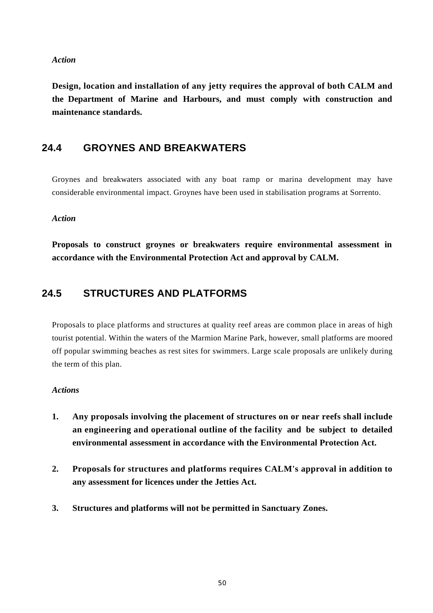#### *Action*

**Design, location and installation of any jetty requires the approval of both CALM and the Department of Marine and Harbours, and must comply with construction and maintenance standards.**

### **24.4 GROYNES AND BREAKWATERS**

Groynes and breakwaters associated with any boat ramp or marina development may have considerable environmental impact. Groynes have been used in stabilisation programs at Sorrento.

#### *Action*

**Proposals to construct groynes or breakwaters require environmental assessment in accordance with the Environmental Protection Act and approval by CALM.**

### **24.5 STRUCTURES AND PLATFORMS**

Proposals to place platforms and structures at quality reef areas are common place in areas of high tourist potential. Within the waters of the Marmion Marine Park, however, small platforms are moored off popular swimming beaches as rest sites for swimmers. Large scale proposals are unlikely during the term of this plan.

- **1. Any proposals involving the placement of structures on or near reefs shall include an engineering and operational outline of the facility and be subject to detailed environmental assessment in accordance with the Environmental Protection Act.**
- **2. Proposals for structures and platforms requires CALM's approval in addition to any assessment for licences under the Jetties Act.**
- **3. Structures and platforms will not be permitted in Sanctuary Zones.**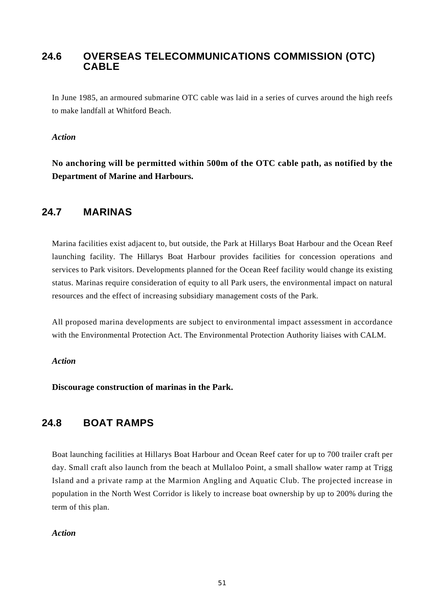### **24.6 OVERSEAS TELECOMMUNICATIONS COMMISSION (OTC) CABLE**

In June 1985, an armoured submarine OTC cable was laid in a series of curves around the high reefs to make landfall at Whitford Beach.

#### *Action*

**No anchoring will be permitted within 500m of the OTC cable path, as notified by the Department of Marine and Harbours.**

### **24.7 MARINAS**

Marina facilities exist adjacent to, but outside, the Park at Hillarys Boat Harbour and the Ocean Reef launching facility. The Hillarys Boat Harbour provides facilities for concession operations and services to Park visitors. Developments planned for the Ocean Reef facility would change its existing status. Marinas require consideration of equity to all Park users, the environmental impact on natural resources and the effect of increasing subsidiary management costs of the Park.

All proposed marina developments are subject to environmental impact assessment in accordance with the Environmental Protection Act. The Environmental Protection Authority liaises with CALM.

#### *Action*

**Discourage construction of marinas in the Park.**

### **24.8 BOAT RAMPS**

Boat launching facilities at Hillarys Boat Harbour and Ocean Reef cater for up to 700 trailer craft per day. Small craft also launch from the beach at Mullaloo Point, a small shallow water ramp at Trigg Island and a private ramp at the Marmion Angling and Aquatic Club. The projected increase in population in the North West Corridor is likely to increase boat ownership by up to 200% during the term of this plan.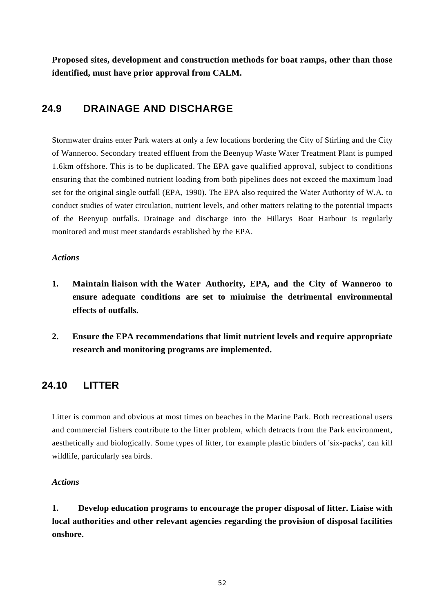**Proposed sites, development and construction methods for boat ramps, other than those identified, must have prior approval from CALM.**

### **24.9 DRAINAGE AND DISCHARGE**

Stormwater drains enter Park waters at only a few locations bordering the City of Stirling and the City of Wanneroo. Secondary treated effluent from the Beenyup Waste Water Treatment Plant is pumped 1.6km offshore. This is to be duplicated. The EPA gave qualified approval, subject to conditions ensuring that the combined nutrient loading from both pipelines does not exceed the maximum load set for the original single outfall (EPA, 1990). The EPA also required the Water Authority of W.A. to conduct studies of water circulation, nutrient levels, and other matters relating to the potential impacts of the Beenyup outfalls. Drainage and discharge into the Hillarys Boat Harbour is regularly monitored and must meet standards established by the EPA.

#### *Actions*

- **1. Maintain liaison with the Water Authority, EPA, and the City of Wanneroo to ensure adequate conditions are set to minimise the detrimental environmental effects of outfalls.**
- **2. Ensure the EPA recommendations that limit nutrient levels and require appropriate research and monitoring programs are implemented.**

### **24.10 LITTER**

Litter is common and obvious at most times on beaches in the Marine Park. Both recreational users and commercial fishers contribute to the litter problem, which detracts from the Park environment, aesthetically and biologically. Some types of litter, for example plastic binders of 'six-packs', can kill wildlife, particularly sea birds.

### *Actions*

**1. Develop education programs to encourage the proper disposal of litter. Liaise with local authorities and other relevant agencies regarding the provision of disposal facilities onshore.**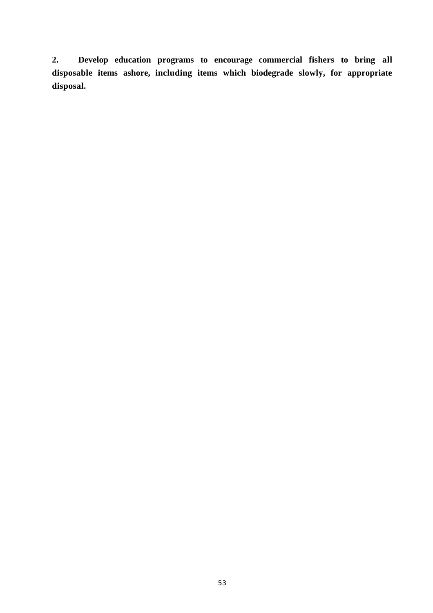**2. Develop education programs to encourage commercial fishers to bring all disposable items ashore, including items which biodegrade slowly, for appropriate disposal.**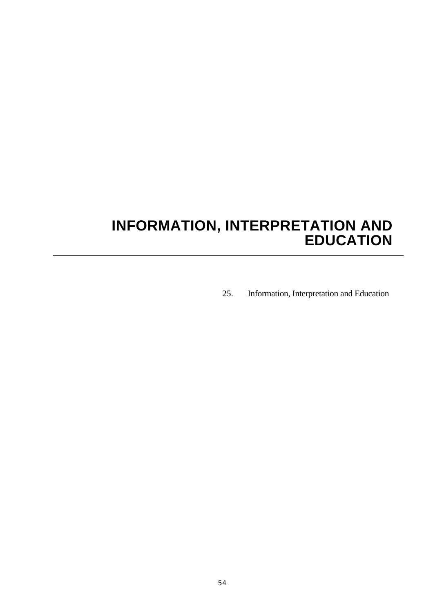## **INFORMATION, INTERPRETATION AND EDUCATION**

25. Information, Interpretation and Education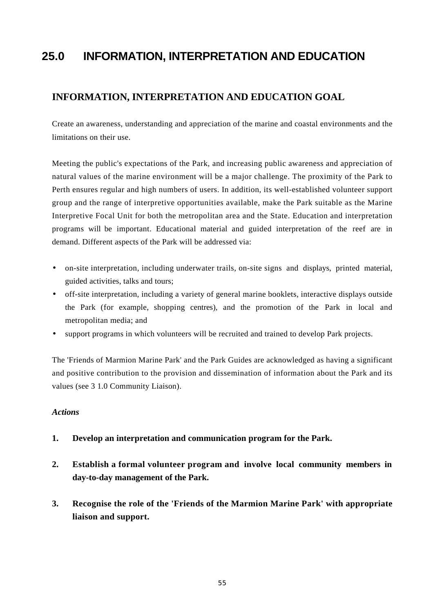### **25.0 INFORMATION, INTERPRETATION AND EDUCATION**

### **INFORMATION, INTERPRETATION AND EDUCATION GOAL**

Create an awareness, understanding and appreciation of the marine and coastal environments and the limitations on their use.

Meeting the public's expectations of the Park, and increasing public awareness and appreciation of natural values of the marine environment will be a major challenge. The proximity of the Park to Perth ensures regular and high numbers of users. In addition, its well-established volunteer support group and the range of interpretive opportunities available, make the Park suitable as the Marine Interpretive Focal Unit for both the metropolitan area and the State. Education and interpretation programs will be important. Educational material and guided interpretation of the reef are in demand. Different aspects of the Park will be addressed via:

- on-site interpretation, including underwater trails, on-site signs and displays, printed material, guided activities, talks and tours;
- off-site interpretation, including a variety of general marine booklets, interactive displays outside the Park (for example, shopping centres), and the promotion of the Park in local and metropolitan media; and
- support programs in which volunteers will be recruited and trained to develop Park projects.

The 'Friends of Marmion Marine Park' and the Park Guides are acknowledged as having a significant and positive contribution to the provision and dissemination of information about the Park and its values (see 3 1.0 Community Liaison).

- **1. Develop an interpretation and communication program for the Park.**
- **2. Establish a formal volunteer program and involve local community members in day-to-day management of the Park.**
- **3. Recognise the role of the 'Friends of the Marmion Marine Park' with appropriate liaison and support.**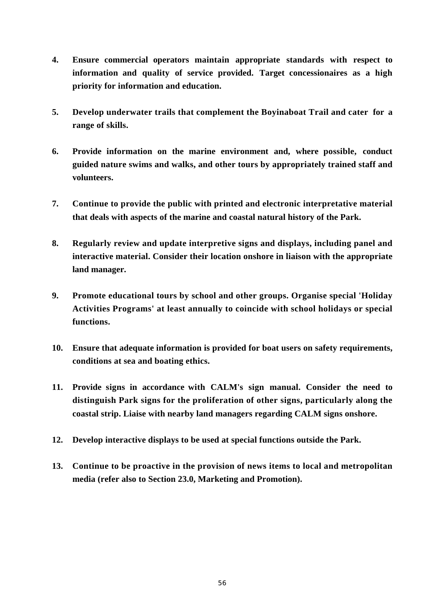- **4. Ensure commercial operators maintain appropriate standards with respect to information and quality of service provided. Target concessionaires as a high priority for information and education.**
- **5. Develop underwater trails that complement the Boyinaboat Trail and cater for a range of skills.**
- **6. Provide information on the marine environment and, where possible, conduct guided nature swims and walks, and other tours by appropriately trained staff and volunteers.**
- **7. Continue to provide the public with printed and electronic interpretative material that deals with aspects of the marine and coastal natural history of the Park.**
- **8. Regularly review and update interpretive signs and displays, including panel and interactive material. Consider their location onshore in liaison with the appropriate land manager.**
- **9. Promote educational tours by school and other groups. Organise special 'Holiday Activities Programs' at least annually to coincide with school holidays or special functions.**
- **10. Ensure that adequate information is provided for boat users on safety requirements, conditions at sea and boating ethics.**
- **11. Provide signs in accordance with CALM's sign manual. Consider the need to distinguish Park signs for the proliferation of other signs, particularly along the coastal strip. Liaise with nearby land managers regarding CALM signs onshore.**
- **12. Develop interactive displays to be used at special functions outside the Park.**
- **13. Continue to be proactive in the provision of news items to local and metropolitan media (refer also to Section 23.0, Marketing and Promotion).**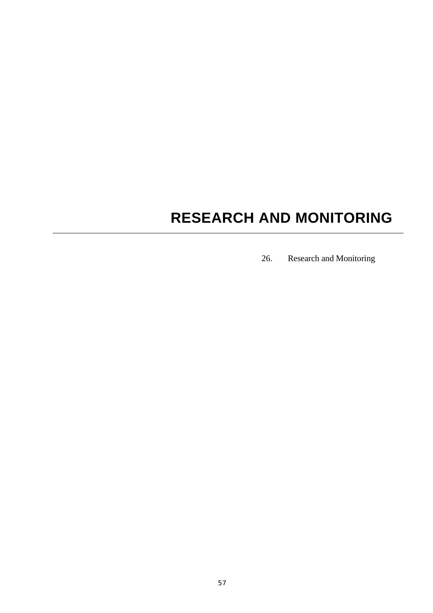# **RESEARCH AND MONITORING**

26. Research and Monitoring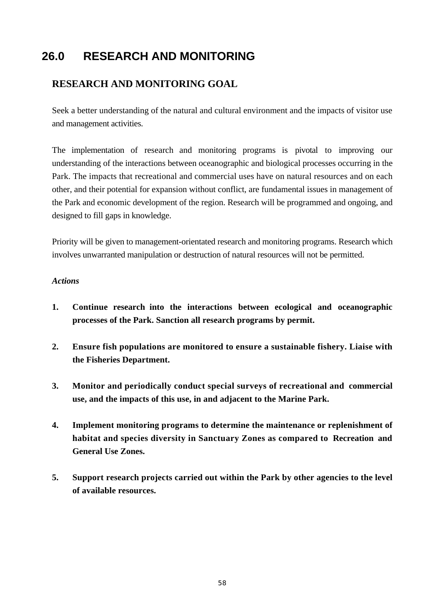### **26.0 RESEARCH AND MONITORING**

### **RESEARCH AND MONITORING GOAL**

Seek a better understanding of the natural and cultural environment and the impacts of visitor use and management activities.

The implementation of research and monitoring programs is pivotal to improving our understanding of the interactions between oceanographic and biological processes occurring in the Park. The impacts that recreational and commercial uses have on natural resources and on each other, and their potential for expansion without conflict, are fundamental issues in management of the Park and economic development of the region. Research will be programmed and ongoing, and designed to fill gaps in knowledge.

Priority will be given to management-orientated research and monitoring programs. Research which involves unwarranted manipulation or destruction of natural resources will not be permitted.

- **1. Continue research into the interactions between ecological and oceanographic processes of the Park. Sanction all research programs by permit.**
- **2. Ensure fish populations are monitored to ensure a sustainable fishery. Liaise with the Fisheries Department.**
- **3. Monitor and periodically conduct special surveys of recreational and commercial use, and the impacts of this use, in and adjacent to the Marine Park.**
- **4. Implement monitoring programs to determine the maintenance or replenishment of habitat and species diversity in Sanctuary Zones as compared to Recreation and General Use Zones.**
- **5. Support research projects carried out within the Park by other agencies to the level of available resources.**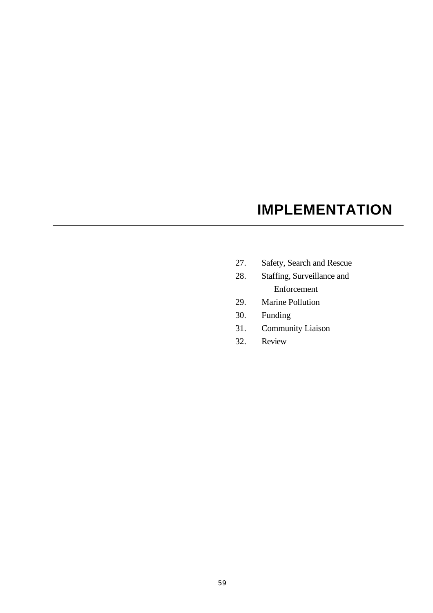## **IMPLEMENTATION**

- 27. Safety, Search and Rescue
- 28. Staffing, Surveillance and Enforcement
- 29. Marine Pollution
- 30. Funding
- 31. Community Liaison
- 32. Review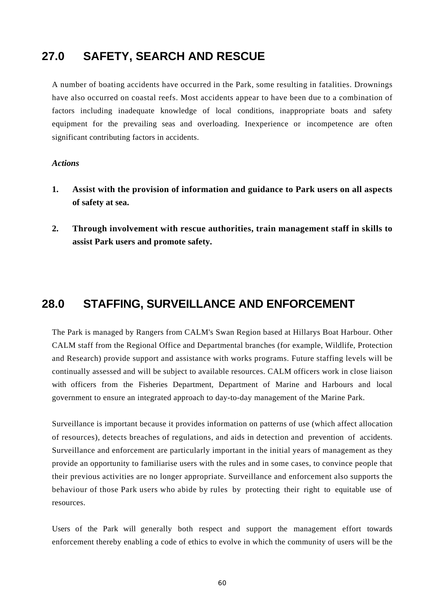### **27.0 SAFETY, SEARCH AND RESCUE**

A number of boating accidents have occurred in the Park, some resulting in fatalities. Drownings have also occurred on coastal reefs. Most accidents appear to have been due to a combination of factors including inadequate knowledge of local conditions, inappropriate boats and safety equipment for the prevailing seas and overloading. Inexperience or incompetence are often significant contributing factors in accidents.

#### *Actions*

- **1. Assist with the provision of information and guidance to Park users on all aspects of safety at sea.**
- **2. Through involvement with rescue authorities, train management staff in skills to assist Park users and promote safety.**

### **28.0 STAFFING, SURVEILLANCE AND ENFORCEMENT**

The Park is managed by Rangers from CALM's Swan Region based at Hillarys Boat Harbour. Other CALM staff from the Regional Office and Departmental branches (for example, Wildlife, Protection and Research) provide support and assistance with works programs. Future staffing levels will be continually assessed and will be subject to available resources. CALM officers work in close liaison with officers from the Fisheries Department, Department of Marine and Harbours and local government to ensure an integrated approach to day-to-day management of the Marine Park.

Surveillance is important because it provides information on patterns of use (which affect allocation of resources), detects breaches of regulations, and aids in detection and prevention of accidents. Surveillance and enforcement are particularly important in the initial years of management as they provide an opportunity to familiarise users with the rules and in some cases, to convince people that their previous activities are no longer appropriate. Surveillance and enforcement also supports the behaviour of those Park users who abide by rules by protecting their right to equitable use of resources.

Users of the Park will generally both respect and support the management effort towards enforcement thereby enabling a code of ethics to evolve in which the community of users will be the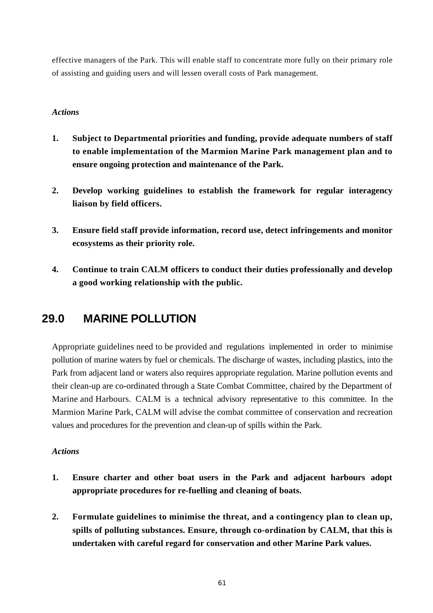effective managers of the Park. This will enable staff to concentrate more fully on their primary role of assisting and guiding users and will lessen overall costs of Park management.

#### *Actions*

- **1. Subject to Departmental priorities and funding, provide adequate numbers of staff to enable implementation of the Marmion Marine Park management plan and to ensure ongoing protection and maintenance of the Park.**
- **2. Develop working guidelines to establish the framework for regular interagency liaison by field officers.**
- **3. Ensure field staff provide information, record use, detect infringements and monitor ecosystems as their priority role.**
- **4. Continue to train CALM officers to conduct their duties professionally and develop a good working relationship with the public.**

### **29.0 MARINE POLLUTION**

Appropriate guidelines need to be provided and regulations implemented in order to minimise pollution of marine waters by fuel or chemicals. The discharge of wastes, including plastics, into the Park from adjacent land or waters also requires appropriate regulation. Marine pollution events and their clean-up are co-ordinated through a State Combat Committee, chaired by the Department of Marine and Harbours. CALM is a technical advisory representative to this committee. In the Marmion Marine Park, CALM will advise the combat committee of conservation and recreation values and procedures for the prevention and clean-up of spills within the Park.

- **1. Ensure charter and other boat users in the Park and adjacent harbours adopt appropriate procedures for re-fuelling and cleaning of boats.**
- **2. Formulate guidelines to minimise the threat, and a contingency plan to clean up, spills of polluting substances. Ensure, through co-ordination by CALM, that this is undertaken with careful regard for conservation and other Marine Park values.**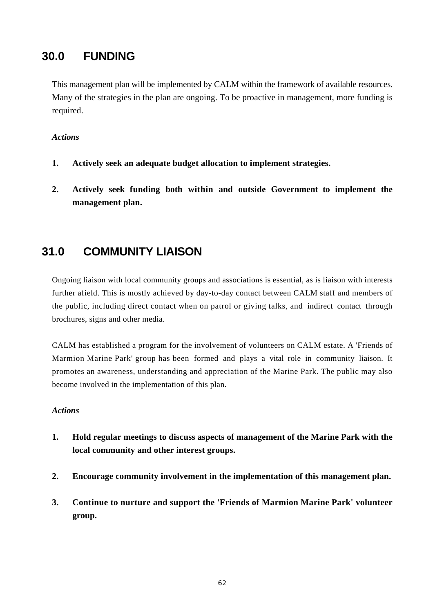### **30.0 FUNDING**

This management plan will be implemented by CALM within the framework of available resources. Many of the strategies in the plan are ongoing. To be proactive in management, more funding is required.

#### *Actions*

- **1. Actively seek an adequate budget allocation to implement strategies.**
- **2. Actively seek funding both within and outside Government to implement the management plan.**

### **31.0 COMMUNITY LIAISON**

Ongoing liaison with local community groups and associations is essential, as is liaison with interests further afield. This is mostly achieved by day-to-day contact between CALM staff and members of the public, including direct contact when on patrol or giving talks, and indirect contact through brochures, signs and other media.

CALM has established a program for the involvement of volunteers on CALM estate. A 'Friends of Marmion Marine Park' group has been formed and plays a vital role in community liaison. It promotes an awareness, understanding and appreciation of the Marine Park. The public may also become involved in the implementation of this plan.

- **1. Hold regular meetings to discuss aspects of management of the Marine Park with the local community and other interest groups.**
- **2. Encourage community involvement in the implementation of this management plan.**
- **3. Continue to nurture and support the 'Friends of Marmion Marine Park' volunteer group.**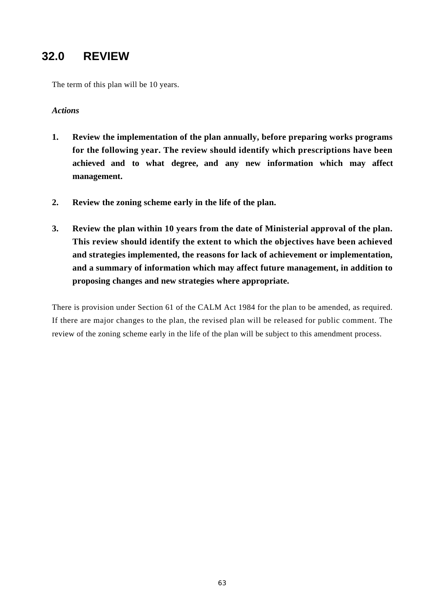### **32.0 REVIEW**

The term of this plan will be 10 years.

#### *Actions*

- **1. Review the implementation of the plan annually, before preparing works programs for the following year. The review should identify which prescriptions have been achieved and to what degree, and any new information which may affect management.**
- **2. Review the zoning scheme early in the life of the plan.**
- **3. Review the plan within 10 years from the date of Ministerial approval of the plan. This review should identify the extent to which the objectives have been achieved and strategies implemented, the reasons for lack of achievement or implementation, and a summary of information which may affect future management, in addition to proposing changes and new strategies where appropriate.**

There is provision under Section 61 of the CALM Act 1984 for the plan to be amended, as required. If there are major changes to the plan, the revised plan will be released for public comment. The review of the zoning scheme early in the life of the plan will be subject to this amendment process.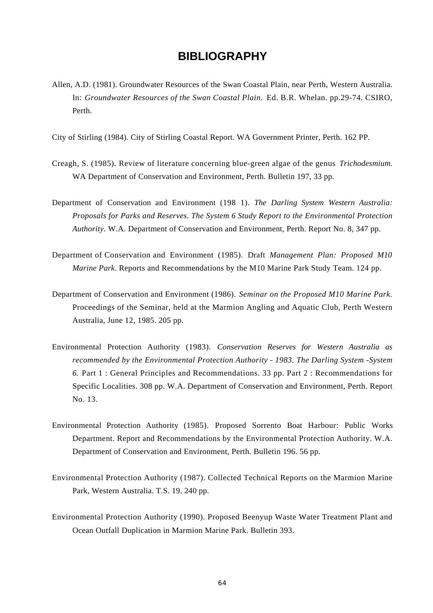### **BIBLIOGRAPHY**

- Allen, A.D. (1981). Groundwater Resources of the Swan Coastal Plain, near Perth, Western Australia. In: *Groundwater Resources of the Swan Coastal Plain.* Ed. B.R. Whelan. pp.29-74. CSIRO, Perth.
- City of Stirling (1984). City of Stirling Coastal Report. WA Government Printer, Perth. 162 PP.
- Creagh, S. (1985). Review of literature concerning blue-green algae of the genus *Trichodesmium.* WA Department of Conservation and Environment, Perth. Bulletin 197, 33 pp.
- Department of Conservation and Environment (198 1). *The Darling System Western Australia: Proposals for Parks and Reserves. The System 6 Study Report to the Environmental Protection Authority.* W.A. Department of Conservation and Environment, Perth. Report No. 8, 347 pp.
- Department of Conservation and Environment (1985). Draft *Management Plan: Proposed M10 Marine Park.* Reports and Recommendations by the M10 Marine Park Study Team. 124 pp.
- Department of Conservation and Environment (1986). *Seminar on the Proposed M10 Marine Park.* Proceedings of the Seminar, held at the Marmion Angling and Aquatic Club, Perth Western Australia, June 12, 1985. 205 pp.
- Environmental Protection Authority (1983). *Conservation Reserves for Western Australia as recommended by the Environmental Protection Authority - 1983. The Darling System -System 6.* Part 1 : General Principles and Recommendations. 33 pp. Part 2 : Recommendations for Specific Localities. 308 pp. W.A. Department of Conservation and Environment, Perth. Report No. 13.
- Environmental Protection Authority (1985). Proposed Sorrento Boat Harbour: Public Works Department. Report and Recommendations by the Environmental Protection Authority. W.A. Department of Conservation and Environment, Perth. Bulletin 196. 56 pp.
- Environmental Protection Authority (1987). Collected Technical Reports on the Marmion Marine Park, Western Australia. T.S. 19. 240 pp.
- Environmental Protection Authority (1990). Proposed Beenyup Waste Water Treatment Plant and Ocean Outfall Duplication in Marmion Marine Park. Bulletin 393.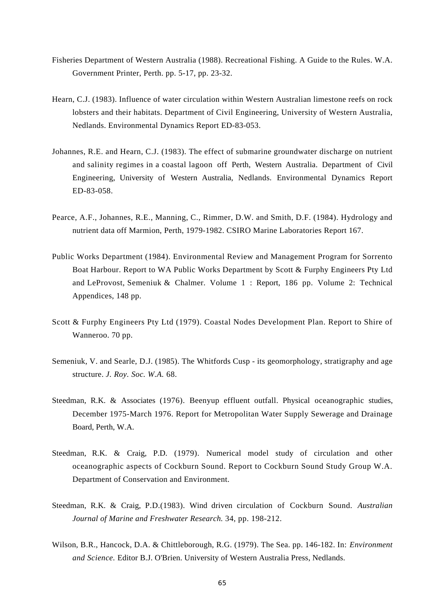- Fisheries Department of Western Australia (1988). Recreational Fishing. A Guide to the Rules. W.A. Government Printer, Perth. pp. 5-17, pp. 23-32.
- Hearn, C.J. (1983). Influence of water circulation within Western Australian limestone reefs on rock lobsters and their habitats. Department of Civil Engineering, University of Western Australia, Nedlands. Environmental Dynamics Report ED-83-053.
- Johannes, R.E. and Hearn, C.J. (1983). The effect of submarine groundwater discharge on nutrient and salinity regimes in a coastal lagoon off Perth, Western Australia. Department of Civil Engineering, University of Western Australia, Nedlands. Environmental Dynamics Report ED-83-058.
- Pearce, A.F., Johannes, R.E., Manning, C., Rimmer, D.W. and Smith, D.F. (1984). Hydrology and nutrient data off Marmion, Perth, 1979-1982. CSIRO Marine Laboratories Report 167.
- Public Works Department (1984). Environmental Review and Management Program for Sorrento Boat Harbour. Report to WA Public Works Department by Scott & Furphy Engineers Pty Ltd and LeProvost, Semeniuk & Chalmer. Volume 1 : Report, 186 pp. Volume 2: Technical Appendices, 148 pp.
- Scott & Furphy Engineers Pty Ltd (1979). Coastal Nodes Development Plan. Report to Shire of Wanneroo. 70 pp.
- Semeniuk, V. and Searle, D.J. (1985). The Whitfords Cusp its geomorphology, stratigraphy and age structure. *J. Roy. Soc. W.A.* 68.
- Steedman, R.K. & Associates (1976). Beenyup effluent outfall. Physical oceanographic studies, December 1975-March 1976. Report for Metropolitan Water Supply Sewerage and Drainage Board, Perth, W.A.
- Steedman, R.K. & Craig, P.D. (1979). Numerical model study of circulation and other oceanographic aspects of Cockburn Sound. Report to Cockburn Sound Study Group W.A. Department of Conservation and Environment.
- Steedman, R.K. & Craig, P.D.(1983). Wind driven circulation of Cockburn Sound. *Australian Journal of Marine and Freshwater Research.* 34, pp. 198-212.
- Wilson, B.R., Hancock, D.A. & Chittleborough, R.G. (1979). The Sea. pp. 146-182. In: *Environment and Science.* Editor B.J. O'Brien. University of Western Australia Press, Nedlands.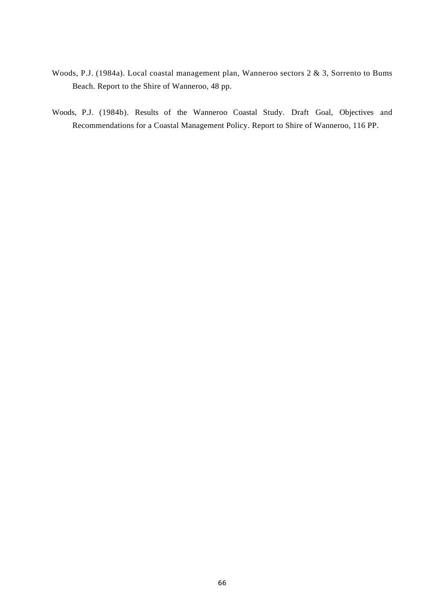- Woods, P.J. (1984a). Local coastal management plan, Wanneroo sectors 2 & 3, Sorrento to Bums Beach. Report to the Shire of Wanneroo, 48 pp.
- Woods, P.J. (1984b). Results of the Wanneroo Coastal Study. Draft Goal, Objectives and Recommendations for a Coastal Management Policy. Report to Shire of Wanneroo, 116 PP.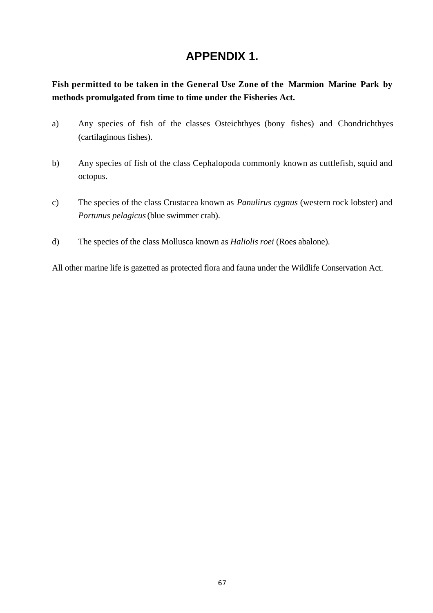## **APPENDIX 1.**

**Fish permitted to be taken in the General Use Zone of the Marmion Marine Park by methods promulgated from time to time under the Fisheries Act.**

- a) Any species of fish of the classes Osteichthyes (bony fishes) and Chondrichthyes (cartilaginous fishes).
- b) Any species of fish of the class Cephalopoda commonly known as cuttlefish, squid and octopus.
- c) The species of the class Crustacea known as *Panulirus cygnus* (western rock lobster) and *Portunus pelagicus* (blue swimmer crab).
- d) The species of the class Mollusca known as *Haliolis roei* (Roes abalone).

All other marine life is gazetted as protected flora and fauna under the Wildlife Conservation Act.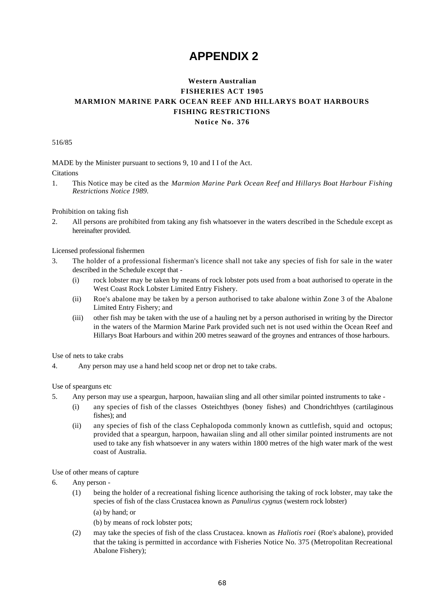## **APPENDIX 2**

### **Western Australian FISHERIES ACT 1905 MARMION MARINE PARK OCEAN REEF AND HILLARYS BOAT HARBOURS FISHING RESTRICTIONS Notice No. 376**

516/85

MADE by the Minister pursuant to sections 9, 10 and I I of the Act. **Citations** 

1. This Notice may be cited as the *Marmion Marine Park Ocean Reef and Hillarys Boat Harbour Fishing Restrictions Notice 1989.*

Prohibition on taking fish

2. All persons are prohibited from taking any fish whatsoever in the waters described in the Schedule except as hereinafter provided.

Licensed professional fishermen

- 3. The holder of a professional fisherman's licence shall not take any species of fish for sale in the water described in the Schedule except that -
	- (i) rock lobster may be taken by means of rock lobster pots used from a boat authorised to operate in the West Coast Rock Lobster Limited Entry Fishery.
	- (ii) Roe's abalone may be taken by a person authorised to take abalone within Zone 3 of the Abalone Limited Entry Fishery; and
	- (iii) other fish may be taken with the use of a hauling net by a person authorised in writing by the Director in the waters of the Marmion Marine Park provided such net is not used within the Ocean Reef and Hillarys Boat Harbours and within 200 metres seaward of the groynes and entrances of those harbours.

Use of nets to take crabs

4. Any person may use a hand held scoop net or drop net to take crabs.

Use of spearguns etc

- 5. Any person may use a speargun, harpoon, hawaiian sling and all other similar pointed instruments to take
	- (i) any species of fish of the classes Osteichthyes (boney fishes) and Chondrichthyes (cartilaginous fishes); and
	- (ii) any species of fish of the class Cephalopoda commonly known as cuttlefish, squid and octopus; provided that a speargun, harpoon, hawaiian sling and all other similar pointed instruments are not used to take any fish whatsoever in any waters within 1800 metres of the high water mark of the west coast of Australia.

Use of other means of capture

- 6. Any person
	- (1) being the holder of a recreational fishing licence authorising the taking of rock lobster, may take the species of fish of the class Crustacea known as *Panulirus cygnus* (western rock lobster)
		- (a) by hand; or
		- (b) by means of rock lobster pots;
	- (2) may take the species of fish of the class Crustacea. known as *Haliotis roei* (Roe's abalone), provided that the taking is permitted in accordance with Fisheries Notice No. 375 (Metropolitan Recreational Abalone Fishery);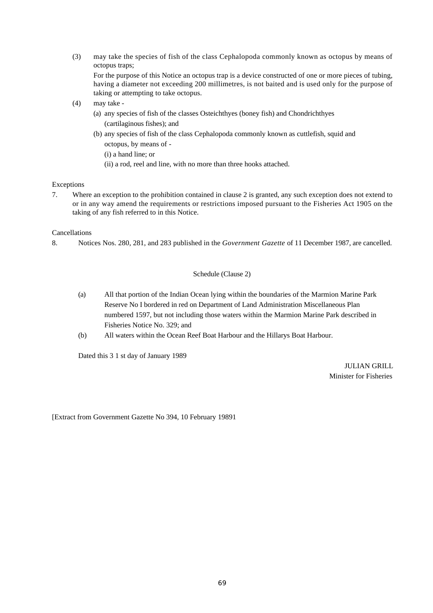(3) may take the species of fish of the class Cephalopoda commonly known as octopus by means of octopus traps;

For the purpose of this Notice an octopus trap is a device constructed of one or more pieces of tubing, having a diameter not exceeding 200 millimetres, is not baited and is used only for the purpose of taking or attempting to take octopus.

- (4) may take
	- (a) any species of fish of the classes Osteichthyes (boney fish) and Chondrichthyes (cartilaginous fishes); and
	- (b) any species of fish of the class Cephalopoda commonly known as cuttlefish, squid and octopus, by means of -
		- (i) a hand line; or
		- (ii) a rod, reel and line, with no more than three hooks attached.

#### Exceptions

7. Where an exception to the prohibition contained in clause 2 is granted, any such exception does not extend to or in any way amend the requirements or restrictions imposed pursuant to the Fisheries Act 1905 on the taking of any fish referred to in this Notice.

#### Cancellations

8. Notices Nos. 280, 281, and 283 published in the *Government Gazette* of 11 December 1987, are cancelled.

#### Schedule (Clause 2)

- (a) All that portion of the Indian Ocean lying within the boundaries of the Marmion Marine Park Reserve No I bordered in red on Department of Land Administration Miscellaneous Plan numbered 1597, but not including those waters within the Marmion Marine Park described in Fisheries Notice No. 329; and
- (b) All waters within the Ocean Reef Boat Harbour and the Hillarys Boat Harbour.

Dated this 3 1 st day of January 1989

JULIAN GRILL Minister for Fisheries

[Extract from Government Gazette No 394, 10 February 19891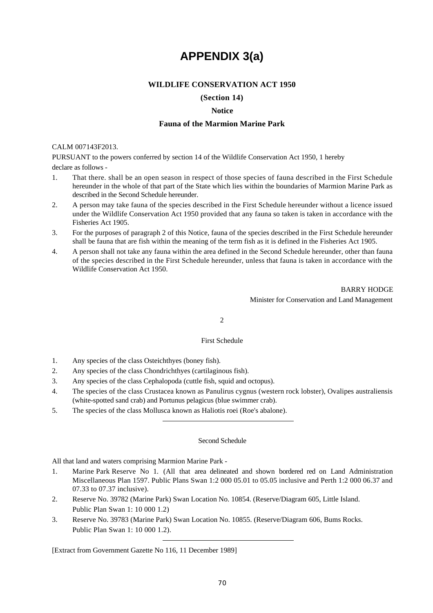## **APPENDIX 3(a)**

#### **WILDLIFE CONSERVATION ACT 1950**

#### **(Section 14)**

#### **Notice**

#### **Fauna of the Marmion Marine Park**

#### CALM 007143F2013.

PURSUANT to the powers conferred by section 14 of the Wildlife Conservation Act 1950, 1 hereby

declare as follows -

- 1. That there. shall be an open season in respect of those species of fauna described in the First Schedule hereunder in the whole of that part of the State which lies within the boundaries of Marmion Marine Park as described in the Second Schedule hereunder.
- 2. A person may take fauna of the species described in the First Schedule hereunder without a licence issued under the Wildlife Conservation Act 1950 provided that any fauna so taken is taken in accordance with the Fisheries Act 1905.
- 3. For the purposes of paragraph 2 of this Notice, fauna of the species described in the First Schedule hereunder shall be fauna that are fish within the meaning of the term fish as it is defined in the Fisheries Act 1905.
- 4. A person shall not take any fauna within the area defined in the Second Schedule hereunder, other than fauna of the species described in the First Schedule hereunder, unless that fauna is taken in accordance with the Wildlife Conservation Act 1950.

BARRY HODGE Minister for Conservation and Land Management

2

#### First Schedule

- 1. Any species of the class Osteichthyes (boney fish).
- 2. Any species of the class Chondrichthyes (cartilaginous fish).
- 3. Any species of the class Cephalopoda (cuttle fish, squid and octopus).
- 4. The species of the class Crustacea known as Panulirus cygnus (western rock lobster), Ovalipes australiensis (white-spotted sand crab) and Portunus pelagicus (blue swimmer crab).
- 5. The species of the class Mollusca known as Haliotis roei (Roe's abalone).

#### Second Schedule

All that land and waters comprising Marmion Marine Park -

- 1. Marine Park Reserve No 1. (All that area delineated and shown bordered red on Land Administration Miscellaneous Plan 1597. Public Plans Swan 1:2 000 05.01 to 05.05 inclusive and Perth 1:2 000 06.37 and 07.33 to 07.37 inclusive).
- 2. Reserve No. 39782 (Marine Park) Swan Location No. 10854. (Reserve/Diagram 605, Little Island. Public Plan Swan 1: 10 000 1.2)
- 3. Reserve No. 39783 (Marine Park) Swan Location No. 10855. (Reserve/Diagram 606, Bums Rocks. Public Plan Swan 1: 10 000 1.2).

[Extract from Government Gazette No 116, 11 December 1989]